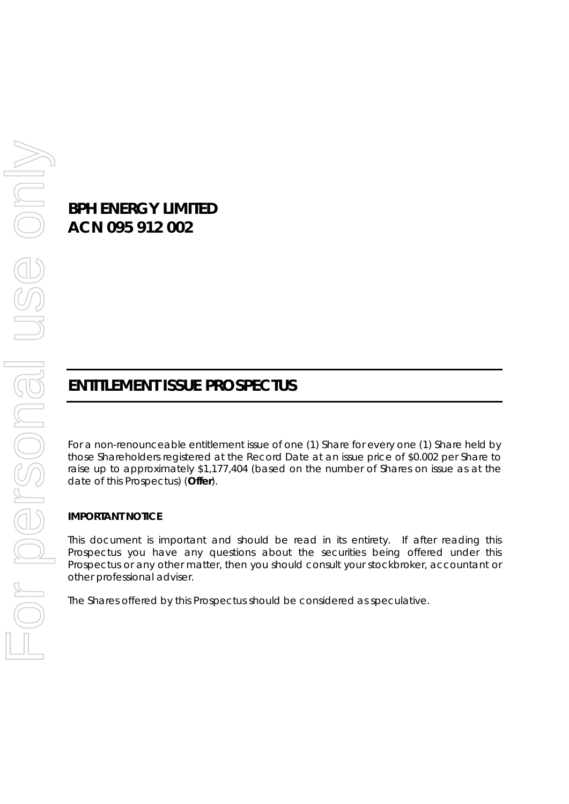# **BPH ENERGY LIMITED ACN 095 912 002**

# **ENTITLEMENT ISSUE PROSPECTUS**

For a non-renounceable entitlement issue of one (1) Share for every one (1) Share held by those Shareholders registered at the Record Date at an issue price of \$0.002 per Share to raise up to approximately \$1,177,404 (based on the number of Shares on issue as at the date of this Prospectus) (**Offer**).

#### **IMPORTANT NOTICE**

This document is important and should be read in its entirety. If after reading this Prospectus you have any questions about the securities being offered under this Prospectus or any other matter, then you should consult your stockbroker, accountant or other professional adviser.

The Shares offered by this Prospectus should be considered as speculative.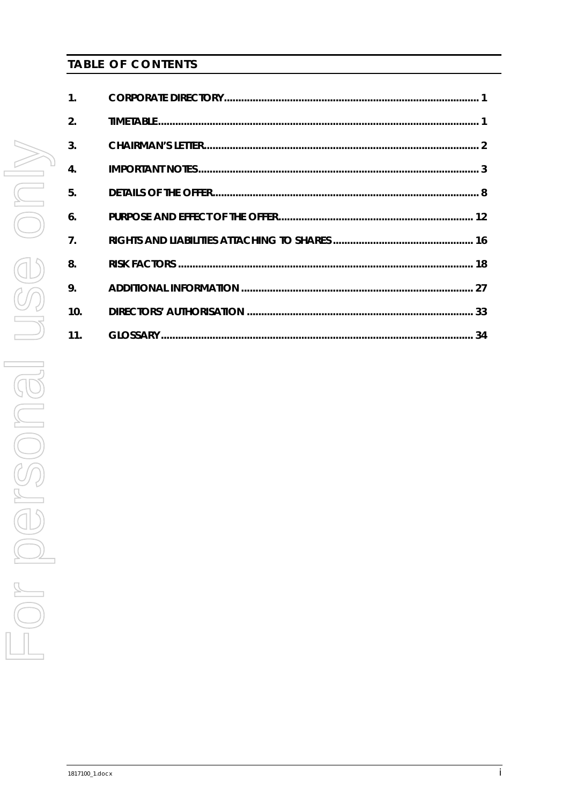# **TABLE OF CONTENTS**

| $\mathbf{1}$ .     |  |
|--------------------|--|
| $\overline{2}$ .   |  |
| $\overline{3}$ .   |  |
| $\boldsymbol{A}$ . |  |
| 5.                 |  |
| 6.                 |  |
| $\overline{7}$ .   |  |
| 8.                 |  |
| 9.                 |  |
| 10.                |  |
| 11.                |  |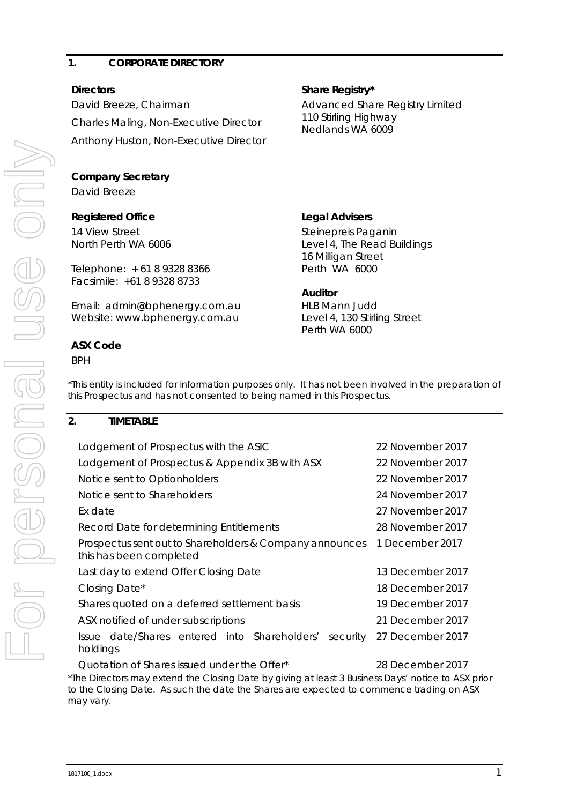#### <span id="page-2-0"></span>**1. CORPORATE DIRECTORY**

David Breeze, Chairman Charles Maling, Non-Executive Director Anthony Huston, Non-Executive Director

# **Company Secretary**

David Breeze

# **Registered Office Legal Advisers**

14 View Street North Perth WA 6006

Telephone: + 61 8 9328 8366 Facsimile: +61 8 9328 8733

Email: admin@bphenergy.com.au Website: www.bphenergy.com.au

# **ASX Code**

BPH

# **Directors** Share Registry\*

Advanced Share Registry Limited 110 Stirling Highway Nedlands WA 6009

Steinepreis Paganin Level 4, The Read Buildings 16 Milligan Street Perth WA 6000

#### **Auditor**

HLB Mann Judd Level 4, 130 Stirling Street Perth WA 6000

\*This entity is included for information purposes only. It has not been involved in the preparation of this Prospectus and has not consented to being named in this Prospectus.

#### <span id="page-2-1"></span>**2. TIMETABLE**

| Lodgement of Prospectus with the ASIC                                                            | 22 November 2017 |
|--------------------------------------------------------------------------------------------------|------------------|
| Lodgement of Prospectus & Appendix 3B with ASX                                                   | 22 November 2017 |
| Notice sent to Optionholders                                                                     | 22 November 2017 |
| Notice sent to Shareholders                                                                      | 24 November 2017 |
| Ex date                                                                                          | 27 November 2017 |
| Record Date for determining Entitlements                                                         | 28 November 2017 |
| Prospectus sent out to Shareholders & Company announces<br>this has been completed               | 1 December 2017  |
| Last day to extend Offer Closing Date                                                            | 13 December 2017 |
| Closing Date*                                                                                    | 18 December 2017 |
| Shares quoted on a deferred settlement basis                                                     | 19 December 2017 |
| ASX notified of under subscriptions                                                              | 21 December 2017 |
| Issue date/Shares entered into Shareholders'<br>security<br>holdings                             | 27 December 2017 |
| Quotation of Shares issued under the Offer*                                                      | 28 December 2017 |
| The Directors may extend the Closing Date by giving at least 3 Business Days' notice to ASX prio |                  |

\*The Directors may extend the Closing Date by giving at least 3 Business Days' notice to ASX prior to the Closing Date. As such the date the Shares are expected to commence trading on ASX may vary.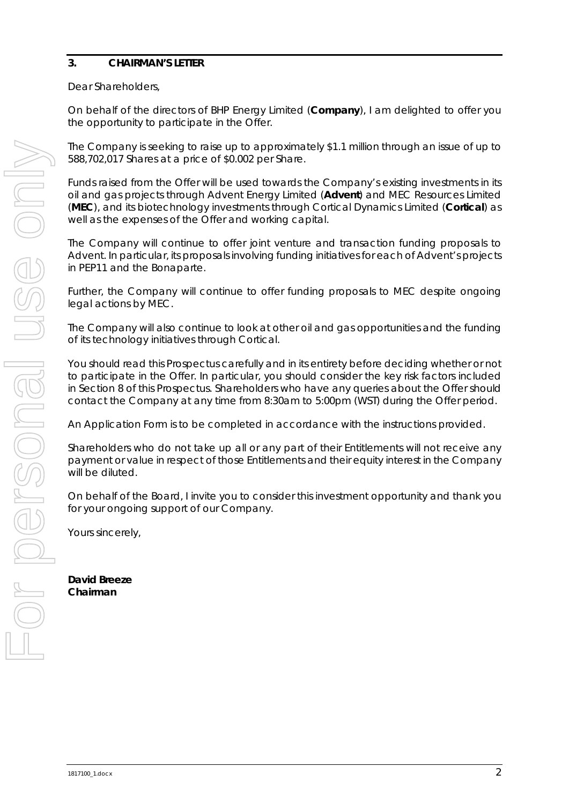# <span id="page-3-0"></span>**3. CHAIRMAN'S LETTER**

Dear Shareholders,

On behalf of the directors of BHP Energy Limited (**Company**), I am delighted to offer you the opportunity to participate in the Offer.

The Company is seeking to raise up to approximately \$1.1 million through an issue of up to 588,702,017 Shares at a price of \$0.002 per Share.

Funds raised from the Offer will be used towards the Company's existing investments in its oil and gas projects through Advent Energy Limited (**Advent**) and MEC Resources Limited (**MEC**), and its biotechnology investments through Cortical Dynamics Limited (**Cortical**) as well as the expenses of the Offer and working capital.

The Company will continue to offer joint venture and transaction funding proposals to Advent. In particular, its proposals involving funding initiatives for each of Advent's projects in PEP11 and the Bonaparte.

Further, the Company will continue to offer funding proposals to MEC despite ongoing legal actions by MEC.

The Company will also continue to look at other oil and gas opportunities and the funding of its technology initiatives through Cortical.

You should read this Prospectus carefully and in its entirety before deciding whether or not to participate in the Offer. In particular, you should consider the key risk factors included in Section [8](#page-19-0) of this Prospectus. Shareholders who have any queries about the Offer should contact the Company at any time from 8:30am to 5:00pm (WST) during the Offer period.

An Application Form is to be completed in accordance with the instructions provided.

Shareholders who do not take up all or any part of their Entitlements will not receive any payment or value in respect of those Entitlements and their equity interest in the Company will be diluted.

On behalf of the Board, I invite you to consider this investment opportunity and thank you for your ongoing support of our Company.

Yours sincerely,

**David Breeze Chairman**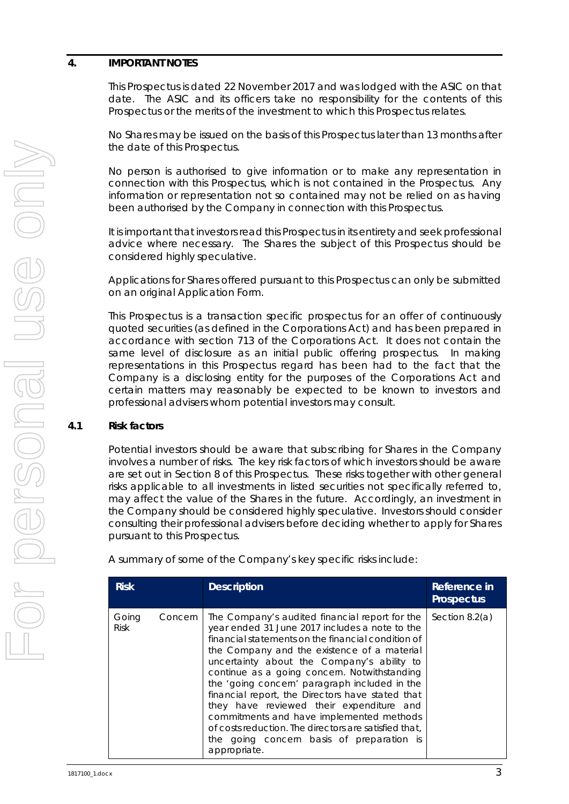### <span id="page-4-0"></span>**4. IMPORTANT NOTES**

This Prospectus is dated 22 November 2017 and was lodged with the ASIC on that date. The ASIC and its officers take no responsibility for the contents of this Prospectus or the merits of the investment to which this Prospectus relates.

No Shares may be issued on the basis of this Prospectus later than 13 months after the date of this Prospectus.

No person is authorised to give information or to make any representation in connection with this Prospectus, which is not contained in the Prospectus. Any information or representation not so contained may not be relied on as having been authorised by the Company in connection with this Prospectus.

It is important that investors read this Prospectus in its entirety and seek professional advice where necessary. The Shares the subject of this Prospectus should be considered highly speculative.

Applications for Shares offered pursuant to this Prospectus can only be submitted on an original Application Form.

This Prospectus is a transaction specific prospectus for an offer of continuously quoted securities (as defined in the Corporations Act) and has been prepared in accordance with section 713 of the Corporations Act. It does not contain the same level of disclosure as an initial public offering prospectus. In making representations in this Prospectus regard has been had to the fact that the Company is a disclosing entity for the purposes of the Corporations Act and certain matters may reasonably be expected to be known to investors and professional advisers whom potential investors may consult.

#### **4.1 Risk factors**

Potential investors should be aware that subscribing for Shares in the Company involves a number of risks. The key risk factors of which investors should be aware are set out in Section [8](#page-19-0) of this Prospectus. These risks together with other general risks applicable to all investments in listed securities not specifically referred to, may affect the value of the Shares in the future. Accordingly, an investment in the Company should be considered highly speculative. Investors should consider consulting their professional advisers before deciding whether to apply for Shares pursuant to this Prospectus.

A summary of some of the Company's key specific risks include:

| <b>Risk</b>          |         | <b>Description</b>                                                                                                                                                                                                                                                                                                                                                                                                                                                                                                                                                                                                     | Reference in<br><b>Prospectus</b> |
|----------------------|---------|------------------------------------------------------------------------------------------------------------------------------------------------------------------------------------------------------------------------------------------------------------------------------------------------------------------------------------------------------------------------------------------------------------------------------------------------------------------------------------------------------------------------------------------------------------------------------------------------------------------------|-----------------------------------|
| Going<br><b>Risk</b> | Concern | The Company's audited financial report for the<br>year ended 31 June 2017 includes a note to the<br>financial statements on the financial condition of<br>the Company and the existence of a material<br>uncertainty about the Company's ability to<br>continue as a going concern. Notwithstanding<br>the 'going concern' paragraph included in the<br>financial report, the Directors have stated that<br>they have reviewed their expenditure and<br>commitments and have implemented methods<br>of costs reduction. The directors are satisfied that.<br>the going concern basis of preparation is<br>appropriate. | Section $8.2(a)$                  |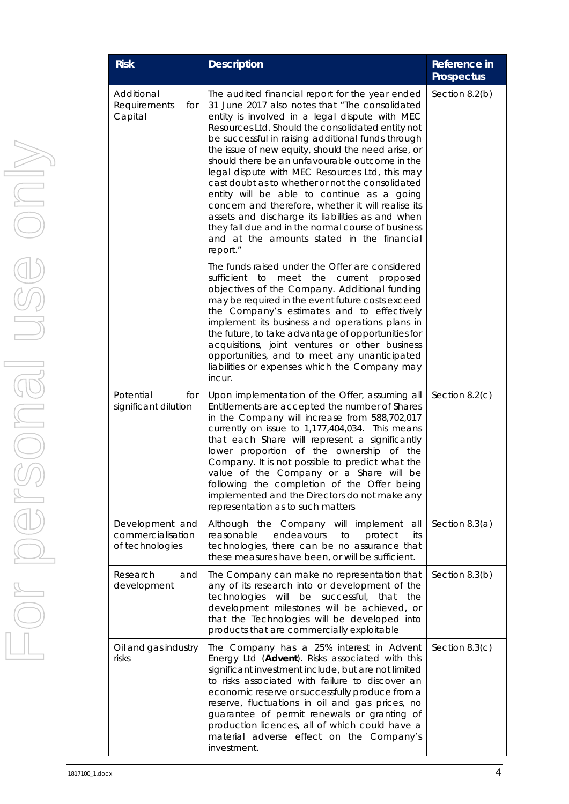| <b>Risk</b>                                             | <b>Description</b>                                                                                                                                                                                                                                                                                                                                                                                                                                                                                                                                                                                                                                                                                                                                  | Reference in<br><b>Prospectus</b> |
|---------------------------------------------------------|-----------------------------------------------------------------------------------------------------------------------------------------------------------------------------------------------------------------------------------------------------------------------------------------------------------------------------------------------------------------------------------------------------------------------------------------------------------------------------------------------------------------------------------------------------------------------------------------------------------------------------------------------------------------------------------------------------------------------------------------------------|-----------------------------------|
| Additional<br>Requirements<br>for<br>Capital            | The audited financial report for the year ended<br>31 June 2017 also notes that "The consolidated<br>entity is involved in a legal dispute with MEC<br>Resources Ltd. Should the consolidated entity not<br>be successful in raising additional funds through<br>the issue of new equity, should the need arise, or<br>should there be an unfavourable outcome in the<br>legal dispute with MEC Resources Ltd, this may<br>cast doubt as to whether or not the consolidated<br>entity will be able to continue as a going<br>concern and therefore, whether it will realise its<br>assets and discharge its liabilities as and when<br>they fall due and in the normal course of business<br>and at the amounts stated in the financial<br>report." | Section $8.2(b)$                  |
|                                                         | The funds raised under the Offer are considered<br>the current<br>sufficient<br>to<br>meet<br>proposed<br>objectives of the Company. Additional funding<br>may be required in the event future costs exceed<br>the Company's estimates and to effectively<br>implement its business and operations plans in<br>the future, to take advantage of opportunities for<br>acquisitions, joint ventures or other business<br>opportunities, and to meet any unanticipated<br>liabilities or expenses which the Company may<br>incur.                                                                                                                                                                                                                      |                                   |
| Potential<br>for<br>significant dilution                | Upon implementation of the Offer, assuming all<br>Entitlements are accepted the number of Shares<br>in the Company will increase from 588,702,017<br>currently on issue to 1,177,404,034. This means<br>that each Share will represent a significantly<br>lower proportion of the ownership of the<br>Company. It is not possible to predict what the<br>value of the Company or a Share will be<br>following the completion of the Offer being<br>implemented and the Directors do not make any<br>representation as to such matters                                                                                                                                                                                                               | Section $8.2(c)$                  |
| Development and<br>commercialisation<br>of technologies | Although the Company will implement<br>all<br>reasonable<br>endeavours<br>to<br>protect<br>its<br>technologies, there can be no assurance that<br>these measures have been, or will be sufficient.                                                                                                                                                                                                                                                                                                                                                                                                                                                                                                                                                  | Section $8.3(a)$                  |
| Research<br>and<br>development                          | The Company can make no representation that<br>any of its research into or development of the<br>technologies<br>will<br>be<br>successful,<br>that<br>the<br>development milestones will be achieved, or<br>that the Technologies will be developed into<br>products that are commercially exploitable                                                                                                                                                                                                                                                                                                                                                                                                                                              | Section 8.3(b)                    |
| Oil and gas industry<br>risks                           | The Company has a 25% interest in Advent<br>Energy Ltd (Advent). Risks associated with this<br>significant investment include, but are not limited<br>to risks associated with failure to discover an<br>economic reserve or successfully produce from a<br>reserve, fluctuations in oil and gas prices, no<br>guarantee of permit renewals or granting of<br>production licences, all of which could have a<br>material adverse effect on the Company's<br>investment.                                                                                                                                                                                                                                                                             | Section $8.3(c)$                  |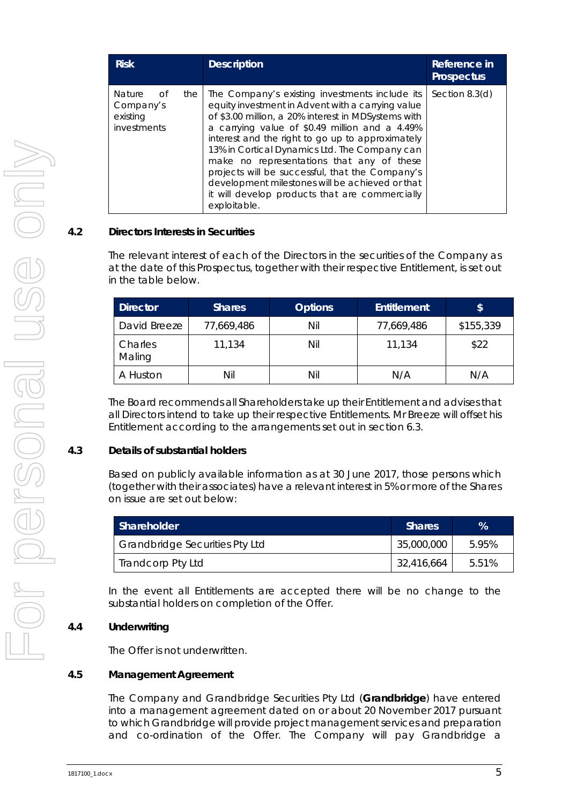| <b>Risk</b>                                                 |     | <b>Description</b>                                                                                                                                                                                                                                                                                                                                                                                                                                                                                                                     | Reference in<br><b>Prospectus</b> |
|-------------------------------------------------------------|-----|----------------------------------------------------------------------------------------------------------------------------------------------------------------------------------------------------------------------------------------------------------------------------------------------------------------------------------------------------------------------------------------------------------------------------------------------------------------------------------------------------------------------------------------|-----------------------------------|
| <b>Nature</b><br>Ωf<br>Company's<br>existing<br>investments | the | The Company's existing investments include its<br>equity investment in Advent with a carrying value<br>of \$3.00 million, a 20% interest in MDSystems with<br>a carrying value of \$0.49 million and a 4.49%<br>interest and the right to go up to approximately<br>13% in Cortical Dynamics Ltd. The Company can<br>make no representations that any of these<br>projects will be successful, that the Company's<br>development milestones will be achieved or that<br>it will develop products that are commercially<br>exploitable. | Section $8.3(d)$                  |

#### <span id="page-6-0"></span>**4.2 Directors Interests in Securities**

The relevant interest of each of the Directors in the securities of the Company as at the date of this Prospectus, together with their respective Entitlement, is set out in the table below.

| <b>Director</b>   | <b>Shares</b> | <b>Options</b> | <b>Entitlement</b> | \$        |
|-------------------|---------------|----------------|--------------------|-----------|
| David Breeze      | 77,669,486    | Nil            | 77,669,486         | \$155,339 |
| Charles<br>Maling | 11,134        | Nil            | 11,134             | \$22      |
| A Huston          | Nil           | Nil            | N/A                | N/A       |

The Board recommends all Shareholders take up their Entitlement and advises that all Directors intend to take up their respective Entitlements. Mr Breeze will offset his Entitlement according to the arrangements set out in section [6.3.](#page-13-1)

#### **4.3 Details of substantial holders**

Based on publicly available information as at 30 June 2017, those persons which (together with their associates) have a relevant interest in 5% or more of the Shares on issue are set out below:

| Shareholder                           | <b>Shares</b> | $\frac{9}{6}$ |
|---------------------------------------|---------------|---------------|
| <b>Grandbridge Securities Pty Ltd</b> | 35,000,000    | 5.95%         |
| <b>Trandcorp Pty Ltd</b>              | 32,416,664    | 5.51%         |

In the event all Entitlements are accepted there will be no change to the substantial holders on completion of the Offer.

# **4.4 Underwriting**

The Offer is not underwritten.

#### **4.5 Management Agreement**

The Company and Grandbridge Securities Pty Ltd (**Grandbridge**) have entered into a management agreement dated on or about 20 November 2017 pursuant to which Grandbridge will provide project management services and preparation and co-ordination of the Offer. The Company will pay Grandbridge a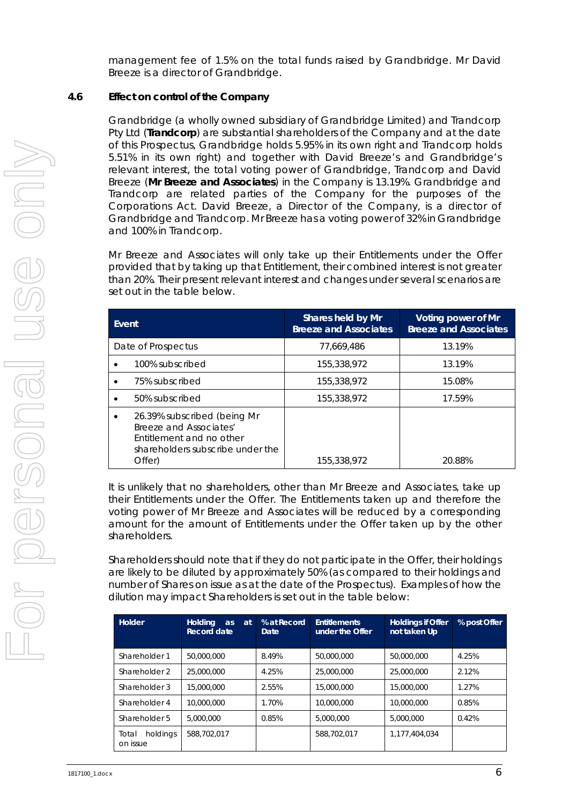management fee of 1.5% on the total funds raised by Grandbridge. Mr David Breeze is a director of Grandbridge.

### **4.6 Effect on control of the Company**

Grandbridge (a wholly owned subsidiary of Grandbridge Limited) and Trandcorp Pty Ltd (**Trandcorp**) are substantial shareholders of the Company and at the date of this Prospectus, Grandbridge holds 5.95% in its own right and Trandcorp holds 5.51% in its own right) and together with David Breeze's and Grandbridge's relevant interest, the total voting power of Grandbridge, Trandcorp and David Breeze (**Mr Breeze and Associates**) in the Company is 13.19%. Grandbridge and Trandcorp are related parties of the Company for the purposes of the Corporations Act. David Breeze, a Director of the Company, is a director of Grandbridge and Trandcorp. Mr Breeze has a voting power of 32% in Grandbridge and 100% in Trandcorp.

Mr Breeze and Associates will only take up their Entitlements under the Offer provided that by taking up that Entitlement, their combined interest is not greater than 20%. Their present relevant interest and changes under several scenarios are set out in the table below.

| Event                                                                                                                           | Shares held by Mr<br><b>Breeze and Associates</b> | Voting power of Mr<br><b>Breeze and Associates</b> |
|---------------------------------------------------------------------------------------------------------------------------------|---------------------------------------------------|----------------------------------------------------|
| Date of Prospectus                                                                                                              | 77.669.486                                        | 13.19%                                             |
| 100% subscribed                                                                                                                 | 155,338,972                                       | 13.19%                                             |
| 75% subscribed                                                                                                                  | 155,338,972                                       | 15.08%                                             |
| 50% subscribed                                                                                                                  | 155,338,972                                       | 17.59%                                             |
| 26.39% subscribed (being Mr<br>Breeze and Associates'<br>Entitlement and no other<br>shareholders subscribe under the<br>Offer) | 155,338,972                                       | 20.88%                                             |

It is unlikely that no shareholders, other than Mr Breeze and Associates, take up their Entitlements under the Offer. The Entitlements taken up and therefore the voting power of Mr Breeze and Associates will be reduced by a corresponding amount for the amount of Entitlements under the Offer taken up by the other shareholders.

Shareholders should note that if they do not participate in the Offer, their holdings are likely to be diluted by approximately 50% (as compared to their holdings and number of Shares on issue as at the date of the Prospectus). Examples of how the dilution may impact Shareholders is set out in the table below:

| Holder                        | <b>Holding</b><br>at<br>as<br>Record date | % at Record<br>Date | <b>Entitlements</b><br>under the Offer | <b>Holdings if Offer</b><br>not taken Up | % post Offer |
|-------------------------------|-------------------------------------------|---------------------|----------------------------------------|------------------------------------------|--------------|
| Shareholder 1                 | 50,000,000                                | 8.49%               | 50,000,000                             | 50,000,000                               | 4.25%        |
| Shareholder 2                 | 25,000,000                                | 4.25%               | 25,000,000                             | 25,000,000                               | 2.12%        |
| Shareholder 3                 | 15,000,000                                | 2.55%               | 15,000,000                             | 15,000,000                               | 1.27%        |
| Shareholder 4                 | 10,000,000                                | 1.70%               | 10,000,000                             | 10,000,000                               | 0.85%        |
| Shareholder 5                 | 5,000,000                                 | 0.85%               | 5,000,000                              | 5,000,000                                | 0.42%        |
| holdings<br>Total<br>on issue | 588,702,017                               |                     | 588.702.017                            | 1.177.404.034                            |              |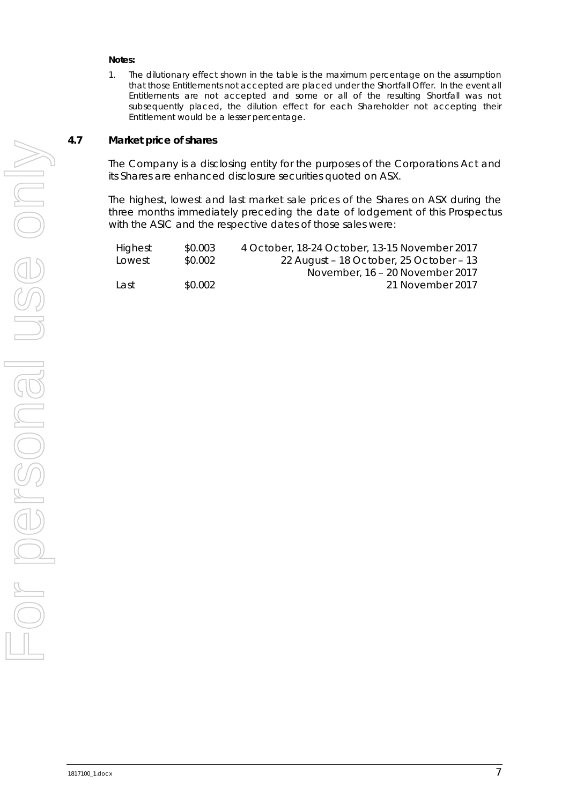#### **Notes:**

1. The dilutionary effect shown in the table is the maximum percentage on the assumption that those Entitlements not accepted are placed under the Shortfall Offer. In the event all Entitlements are not accepted and some or all of the resulting Shortfall was not subsequently placed, the dilution effect for each Shareholder not accepting their Entitlement would be a lesser percentage.

#### **4.7 Market price of shares**

The Company is a disclosing entity for the purposes of the Corporations Act and its Shares are enhanced disclosure securities quoted on ASX.

The highest, lowest and last market sale prices of the Shares on ASX during the three months immediately preceding the date of lodgement of this Prospectus with the ASIC and the respective dates of those sales were:

| Highest | \$0.003 | 4 October, 18-24 October, 13-15 November 2017 |
|---------|---------|-----------------------------------------------|
| Lowest  | \$0.002 | 22 August - 18 October, 25 October - 13       |
|         |         | November, 16 – 20 November 2017               |
| Last    | \$0.002 | 21 November 2017                              |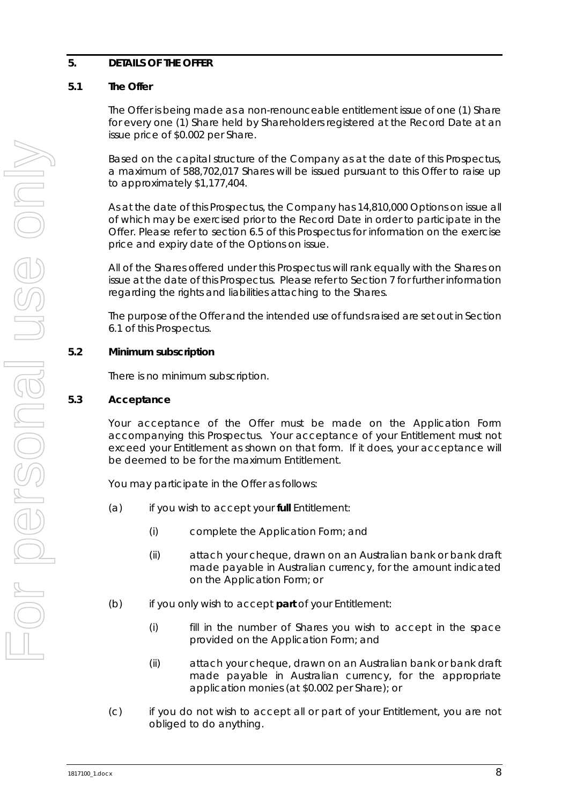# <span id="page-9-0"></span>**5. DETAILS OF THE OFFER**

# **5.1 The Offer**

The Offer is being made as a non-renounceable entitlement issue of one (1) Share for every one (1) Share held by Shareholders registered at the Record Date at an issue price of \$0.002 per Share.

Based on the capital structure of the Company as at the date of this Prospectus, a maximum of 588,702,017 Shares will be issued pursuant to this Offer to raise up to approximately \$1,177,404.

As at the date of this Prospectus, the Company has 14,810,000 Options on issue all of which may be exercised prior to the Record Date in order to participate in the Offer. Please refer to section [6.5](#page-15-0) of this Prospectus for information on the exercise price and expiry date of the Options on issue.

All of the Shares offered under this Prospectus will rank equally with the Shares on issue at the date of this Prospectus. Please refer to Section [7](#page-17-0) for further information regarding the rights and liabilities attaching to the Shares.

The purpose of the Offer and the intended use of funds raised are set out in Section [6.1](#page-13-2) of this Prospectus.

# **5.2 Minimum subscription**

There is no minimum subscription.

# **5.3 Acceptance**

Your acceptance of the Offer must be made on the Application Form accompanying this Prospectus. Your acceptance of your Entitlement must not exceed your Entitlement as shown on that form. If it does, your acceptance will be deemed to be for the maximum Entitlement.

You may participate in the Offer as follows:

- (a) if you wish to accept your **full** Entitlement:
	- (i) complete the Application Form; and
	- (ii) attach your cheque, drawn on an Australian bank or bank draft made payable in Australian currency, for the amount indicated on the Application Form; or
- (b) if you only wish to accept **part** of your Entitlement:
	- (i) fill in the number of Shares you wish to accept in the space provided on the Application Form; and
	- (ii) attach your cheque, drawn on an Australian bank or bank draft made payable in Australian currency, for the appropriate application monies (at \$0.002 per Share); or
- (c) if you do not wish to accept all or part of your Entitlement, you are not obliged to do anything.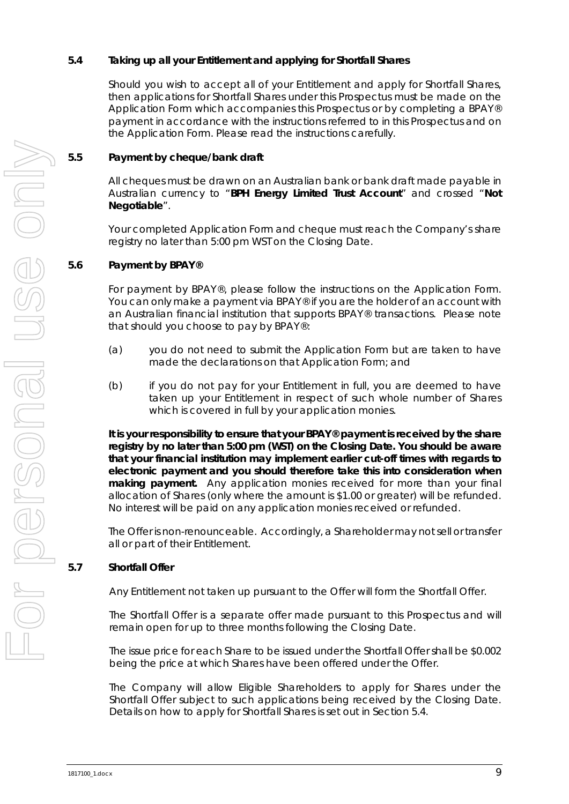# <span id="page-10-0"></span>**5.4 Taking up all your Entitlement and applying for Shortfall Shares**

Should you wish to accept all of your Entitlement and apply for Shortfall Shares, then applications for Shortfall Shares under this Prospectus must be made on the Application Form which accompanies this Prospectus or by completing a BPAY® payment in accordance with the instructions referred to in this Prospectus and on the Application Form. Please read the instructions carefully.

# **5.5 Payment by cheque/bank draft**

All cheques must be drawn on an Australian bank or bank draft made payable in Australian currency to "**BPH Energy Limited Trust Account**" and crossed "**Not Negotiable**".

Your completed Application Form and cheque must reach the Company's share registry no later than 5:00 pm WST on the Closing Date.

#### **5.6 Payment by BPAY®**

For payment by BPAY®, please follow the instructions on the Application Form. You can only make a payment via BPAY® if you are the holder of an account with an Australian financial institution that supports BPAY® transactions. Please note that should you choose to pay by BPAY®:

- (a) you do not need to submit the Application Form but are taken to have made the declarations on that Application Form; and
- (b) if you do not pay for your Entitlement in full, you are deemed to have taken up your Entitlement in respect of such whole number of Shares which is covered in full by your application monies.

**It is your responsibility to ensure that your BPAY® payment is received by the share registry by no later than 5:00 pm (WST) on the Closing Date. You should be aware that your financial institution may implement earlier cut-off times with regards to electronic payment and you should therefore take this into consideration when making payment.** Any application monies received for more than your final allocation of Shares (only where the amount is \$1.00 or greater) will be refunded. No interest will be paid on any application monies received or refunded.

The Offer is non-renounceable. Accordingly, a Shareholder may not sell or transfer all or part of their Entitlement.

# <span id="page-10-1"></span>**5.7 Shortfall Offer**

Any Entitlement not taken up pursuant to the Offer will form the Shortfall Offer.

The Shortfall Offer is a separate offer made pursuant to this Prospectus and will remain open for up to three months following the Closing Date.

The issue price for each Share to be issued under the Shortfall Offer shall be \$0.002 being the price at which Shares have been offered under the Offer.

The Company will allow Eligible Shareholders to apply for Shares under the Shortfall Offer subject to such applications being received by the Closing Date. Details on how to apply for Shortfall Shares is set out in Section [5.4.](#page-10-0)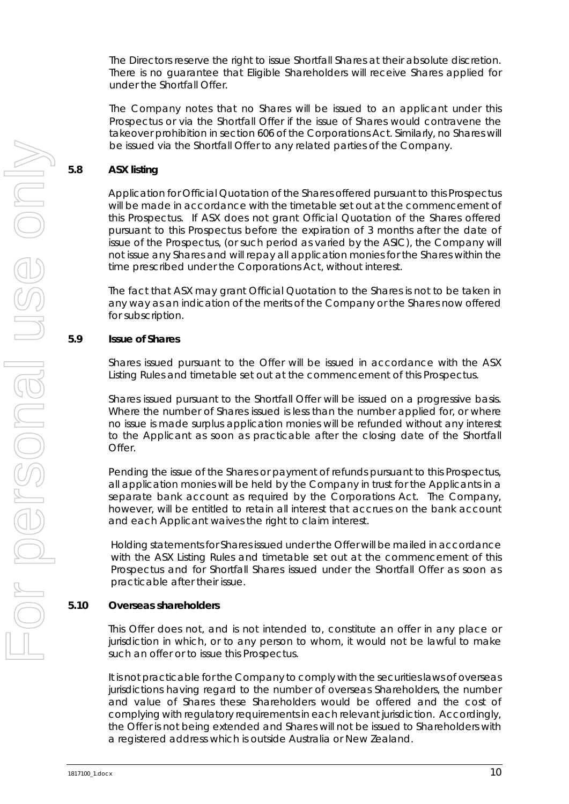The Directors reserve the right to issue Shortfall Shares at their absolute discretion. There is no guarantee that Eligible Shareholders will receive Shares applied for under the Shortfall Offer.

The Company notes that no Shares will be issued to an applicant under this Prospectus or via the Shortfall Offer if the issue of Shares would contravene the takeover prohibition in section 606 of the Corporations Act. Similarly, no Shares will be issued via the Shortfall Offer to any related parties of the Company.

#### **5.8 ASX listing**

Application for Official Quotation of the Shares offered pursuant to this Prospectus will be made in accordance with the timetable set out at the commencement of this Prospectus. If ASX does not grant Official Quotation of the Shares offered pursuant to this Prospectus before the expiration of 3 months after the date of issue of the Prospectus, (or such period as varied by the ASIC), the Company will not issue any Shares and will repay all application monies for the Shares within the time prescribed under the Corporations Act, without interest.

The fact that ASX may grant Official Quotation to the Shares is not to be taken in any way as an indication of the merits of the Company or the Shares now offered for subscription.

#### **5.9 Issue of Shares**

Shares issued pursuant to the Offer will be issued in accordance with the ASX Listing Rules and timetable set out at the commencement of this Prospectus.

Shares issued pursuant to the Shortfall Offer will be issued on a progressive basis. Where the number of Shares issued is less than the number applied for, or where no issue is made surplus application monies will be refunded without any interest to the Applicant as soon as practicable after the closing date of the Shortfall Offer.

Pending the issue of the Shares or payment of refunds pursuant to this Prospectus, all application monies will be held by the Company in trust for the Applicants in a separate bank account as required by the Corporations Act. The Company, however, will be entitled to retain all interest that accrues on the bank account and each Applicant waives the right to claim interest.

Holding statements for Shares issued under the Offer will be mailed in accordance with the ASX Listing Rules and timetable set out at the commencement of this Prospectus and for Shortfall Shares issued under the Shortfall Offer as soon as practicable after their issue.

#### **5.10 Overseas shareholders**

This Offer does not, and is not intended to, constitute an offer in any place or jurisdiction in which, or to any person to whom, it would not be lawful to make such an offer or to issue this Prospectus.

It is not practicable for the Company to comply with the securities laws of overseas jurisdictions having regard to the number of overseas Shareholders, the number and value of Shares these Shareholders would be offered and the cost of complying with regulatory requirements in each relevant jurisdiction. Accordingly, the Offer is not being extended and Shares will not be issued to Shareholders with a registered address which is outside Australia or New Zealand.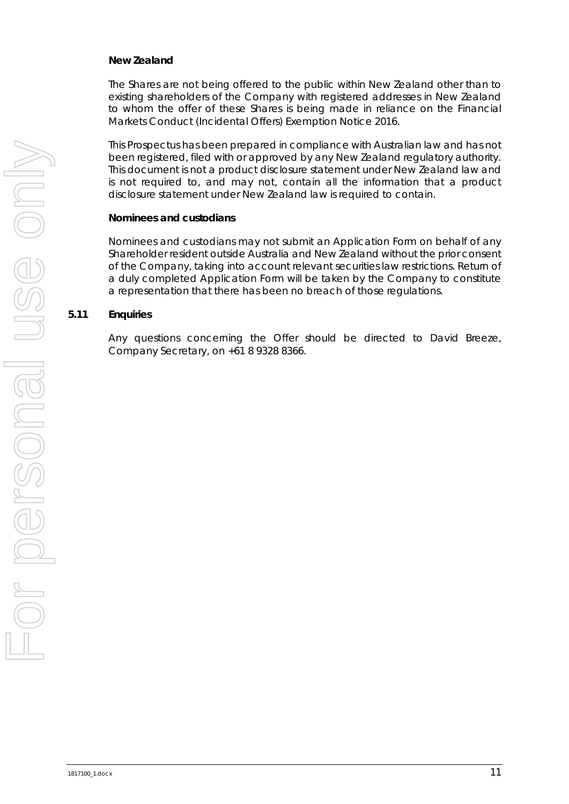#### *New Zealand*

The Shares are not being offered to the public within New Zealand other than to existing shareholders of the Company with registered addresses in New Zealand to whom the offer of these Shares is being made in reliance on the Financial Markets Conduct (Incidental Offers) Exemption Notice 2016.

This Prospectus has been prepared in compliance with Australian law and has not been registered, filed with or approved by any New Zealand regulatory authority. This document is not a product disclosure statement under New Zealand law and is not required to, and may not, contain all the information that a product disclosure statement under New Zealand law is required to contain.

#### *Nominees and custodians*

Nominees and custodians may not submit an Application Form on behalf of any Shareholder resident outside Australia and New Zealand without the prior consent of the Company, taking into account relevant securities law restrictions. Return of a duly completed Application Form will be taken by the Company to constitute a representation that there has been no breach of those regulations.

#### **5.11 Enquiries**

Any questions concerning the Offer should be directed to David Breeze, Company Secretary, on +61 8 9328 8366.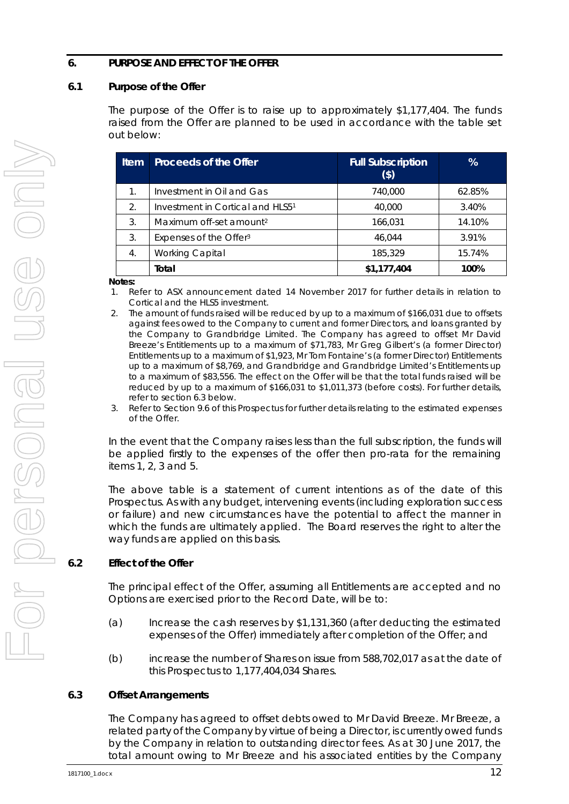### <span id="page-13-0"></span>**6. PURPOSE AND EFFECT OF THE OFFER**

#### <span id="page-13-2"></span>**6.1 Purpose of the Offer**

The purpose of the Offer is to raise up to approximately \$1,177,404. The funds raised from the Offer are planned to be used in accordance with the table set out below:

| <b>Item</b>      | <b>Proceeds of the Offer</b>        | <b>Full Subscription</b><br>(\$) | $\%$   |
|------------------|-------------------------------------|----------------------------------|--------|
| 1.               | Investment in Oil and Gas           | 740,000                          | 62.85% |
| 2.               | Investment in Cortical and HLS51    | 40,000                           | 3.40%  |
| 3.               | Maximum off-set amount <sup>2</sup> | 166,031                          | 14.10% |
| 3.               | Expenses of the Offer <sup>3</sup>  | 46.044                           | 3.91%  |
| $\overline{4}$ . | <b>Working Capital</b>              | 185,329                          | 15.74% |
|                  | Total                               | \$1,177,404                      | 100%   |

**Notes:**

- 1. Refer to ASX announcement dated 14 November 2017 for further details in relation to Cortical and the HLS5 investment.
- 2. The amount of funds raised will be reduced by up to a maximum of \$166,031 due to offsets against fees owed to the Company to current and former Directors, and loans granted by the Company to Grandbridge Limited. The Company has agreed to offset Mr David Breeze's Entitlements up to a maximum of \$71,783, Mr Greg Gilbert's (a former Director) Entitlements up to a maximum of \$1,923, Mr Tom Fontaine's (a former Director) Entitlements up to a maximum of \$8,769, and Grandbridge and Grandbridge Limited's Entitlements up to a maximum of \$83,556. The effect on the Offer will be that the total funds raised will be reduced by up to a maximum of \$166,031 to \$1,011,373 (before costs). For further details, refer to section [6.3](#page-13-1) below.
- 3. Refer to Section [9.6](#page-32-0) of this Prospectus for further details relating to the estimated expenses of the Offer.

In the event that the Company raises less than the full subscription, the funds will be applied firstly to the expenses of the offer then pro-rata for the remaining items 1, 2, 3 and 5.

The above table is a statement of current intentions as of the date of this Prospectus. As with any budget, intervening events (including exploration success or failure) and new circumstances have the potential to affect the manner in which the funds are ultimately applied. The Board reserves the right to alter the way funds are applied on this basis.

# **6.2 Effect of the Offer**

The principal effect of the Offer, assuming all Entitlements are accepted and no Options are exercised prior to the Record Date, will be to:

- (a) Increase the cash reserves by \$1,131,360 (after deducting the estimated expenses of the Offer) immediately after completion of the Offer; and
- (b) increase the number of Shares on issue from 588,702,017 as at the date of this Prospectus to 1,177,404,034 Shares.

# <span id="page-13-1"></span>**6.3 Offset Arrangements**

The Company has agreed to offset debts owed to Mr David Breeze. Mr Breeze, a related party of the Company by virtue of being a Director, is currently owed funds by the Company in relation to outstanding director fees. As at 30 June 2017, the total amount owing to Mr Breeze and his associated entities by the Company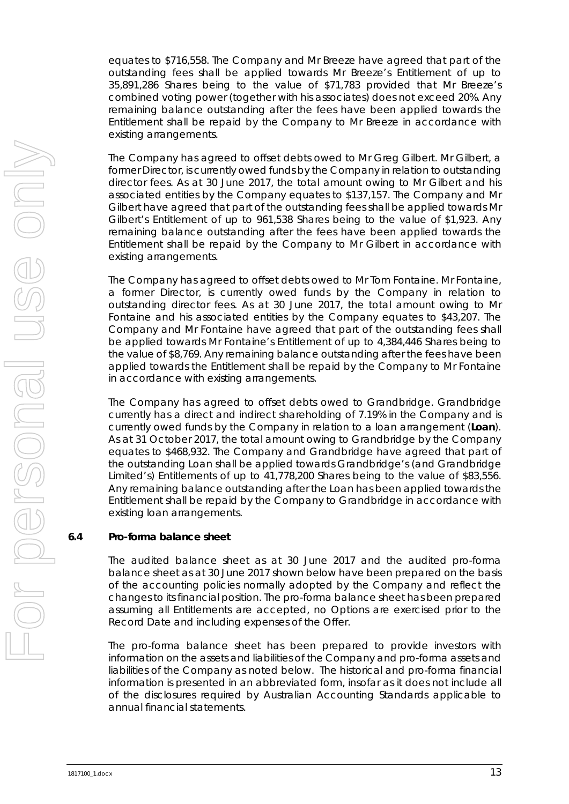equates to \$716,558. The Company and Mr Breeze have agreed that part of the outstanding fees shall be applied towards Mr Breeze's Entitlement of up to 35,891,286 Shares being to the value of \$71,783 provided that Mr Breeze's combined voting power (together with his associates) does not exceed 20%. Any remaining balance outstanding after the fees have been applied towards the Entitlement shall be repaid by the Company to Mr Breeze in accordance with existing arrangements.

The Company has agreed to offset debts owed to Mr Greg Gilbert. Mr Gilbert, a former Director, is currently owed funds by the Company in relation to outstanding director fees. As at 30 June 2017, the total amount owing to Mr Gilbert and his associated entities by the Company equates to \$137,157. The Company and Mr Gilbert have agreed that part of the outstanding fees shall be applied towards Mr Gilbert's Entitlement of up to 961,538 Shares being to the value of \$1,923. Any remaining balance outstanding after the fees have been applied towards the Entitlement shall be repaid by the Company to Mr Gilbert in accordance with existing arrangements.

The Company has agreed to offset debts owed to Mr Tom Fontaine. Mr Fontaine, a former Director, is currently owed funds by the Company in relation to outstanding director fees. As at 30 June 2017, the total amount owing to Mr Fontaine and his associated entities by the Company equates to \$43,207. The Company and Mr Fontaine have agreed that part of the outstanding fees shall be applied towards Mr Fontaine's Entitlement of up to 4,384,446 Shares being to the value of \$8,769. Any remaining balance outstanding after the fees have been applied towards the Entitlement shall be repaid by the Company to Mr Fontaine in accordance with existing arrangements.

The Company has agreed to offset debts owed to Grandbridge. Grandbridge currently has a direct and indirect shareholding of 7.19% in the Company and is currently owed funds by the Company in relation to a loan arrangement (**Loan**). As at 31 October 2017, the total amount owing to Grandbridge by the Company equates to \$468,932. The Company and Grandbridge have agreed that part of the outstanding Loan shall be applied towards Grandbridge's (and Grandbridge Limited's) Entitlements of up to 41,778,200 Shares being to the value of \$83,556. Any remaining balance outstanding after the Loan has been applied towards the Entitlement shall be repaid by the Company to Grandbridge in accordance with existing loan arrangements.

#### <span id="page-14-0"></span>**6.4 Pro-forma balance sheet**

The audited balance sheet as at 30 June 2017 and the audited pro-forma balance sheet as at 30 June 2017 shown below have been prepared on the basis of the accounting policies normally adopted by the Company and reflect the changes to its financial position. The pro-forma balance sheet has been prepared assuming all Entitlements are accepted, no Options are exercised prior to the Record Date and including expenses of the Offer.

The pro-forma balance sheet has been prepared to provide investors with information on the assets and liabilities of the Company and pro-forma assets and liabilities of the Company as noted below. The historical and pro-forma financial information is presented in an abbreviated form, insofar as it does not include all of the disclosures required by Australian Accounting Standards applicable to annual financial statements.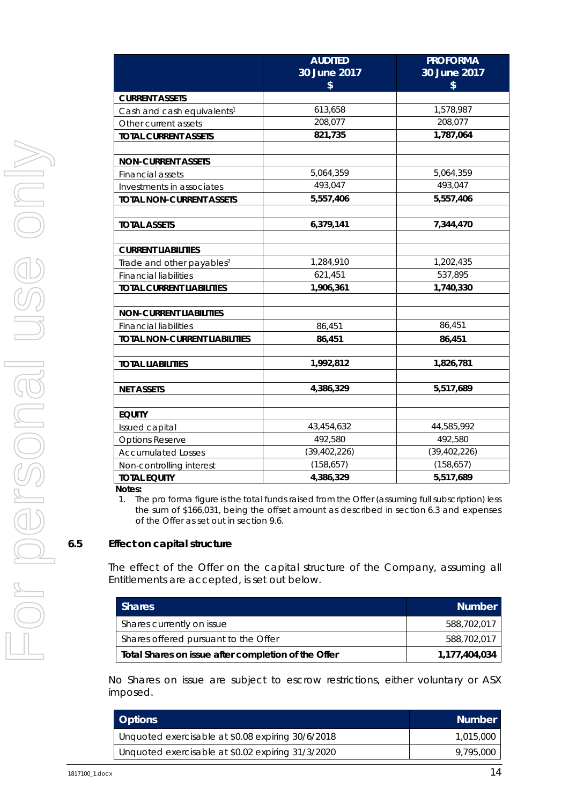|                                                     | <b>AUDITED</b> | <b>PROFORMA</b> |
|-----------------------------------------------------|----------------|-----------------|
|                                                     | 30 June 2017   | 30 June 2017    |
|                                                     | \$             | \$              |
| <b>CURRENT ASSETS</b>                               |                |                 |
| Cash and cash equivalents <sup>1</sup>              | 613,658        | 1,578,987       |
| Other current assets                                | 208,077        | 208,077         |
| <b>TOTAL CURRENT ASSETS</b>                         | 821,735        | 1,787,064       |
|                                                     |                |                 |
| <b>NON-CURRENT ASSETS</b>                           |                |                 |
| Financial assets                                    | 5,064,359      | 5,064,359       |
| Investments in associates                           | 493,047        | 493,047         |
| <b>TOTAL NON-CURRENT ASSETS</b>                     | 5,557,406      | 5,557,406       |
|                                                     |                |                 |
| <b>TOTAL ASSETS</b>                                 | 6,379,141      | 7,344,470       |
|                                                     |                |                 |
| <b>CURRENT LIABILITIES</b>                          |                |                 |
| Trade and other payables <sup>2</sup>               | 1,284,910      | 1,202,435       |
| <b>Financial liabilities</b>                        | 621,451        | 537,895         |
| <b>TOTAL CURRENT LIABILITIES</b>                    | 1,906,361      | 1,740,330       |
|                                                     |                |                 |
| <b>NON-CURRENT LIABILITIES</b>                      |                |                 |
| <b>Financial liabilities</b>                        | 86,451         | 86,451          |
| <b>TOTAL NON-CURRENT LIABILITIES</b>                | 86,451         | 86,451          |
|                                                     |                |                 |
| <b>TOTAL LIABILITIES</b>                            | 1,992,812      | 1,826,781       |
|                                                     |                |                 |
| <b>NET ASSETS</b>                                   | 4,386,329      | 5,517,689       |
| <b>EQUITY</b>                                       |                |                 |
|                                                     | 43,454,632     | 44,585,992      |
| Issued capital                                      | 492,580        | 492,580         |
| <b>Options Reserve</b><br><b>Accumulated Losses</b> | (39, 402, 226) | (39, 402, 226)  |
|                                                     | (158, 657)     | (158, 657)      |
| Non-controlling interest                            | 4,386,329      | 5,517,689       |
| <b>TOTAL EQUITY</b>                                 |                |                 |

**Notes:** 

1. The pro forma figure is the total funds raised from the Offer (assuming full subscription) less the sum of \$166,031, being the offset amount as described in section [6.3](#page-13-1) and expenses of the Offer as set out in section [9.6.](#page-32-0) 

#### <span id="page-15-0"></span>**6.5 Effect on capital structure**

The effect of the Offer on the capital structure of the Company, assuming all Entitlements are accepted, is set out below.

| <b>Shares</b>                                       | <b>Number</b> |
|-----------------------------------------------------|---------------|
| Shares currently on issue                           | 588.702.017   |
| Shares offered pursuant to the Offer                | 588.702.017   |
| Total Shares on issue after completion of the Offer | 1,177,404,034 |

No Shares on issue are subject to escrow restrictions, either voluntary or ASX imposed.

| <b>Options</b>                                    | <b>Number</b> |
|---------------------------------------------------|---------------|
| Unquoted exercisable at \$0.08 expiring 30/6/2018 | 1,015,000     |
| Unquoted exercisable at \$0.02 expiring 31/3/2020 | 9,795,000     |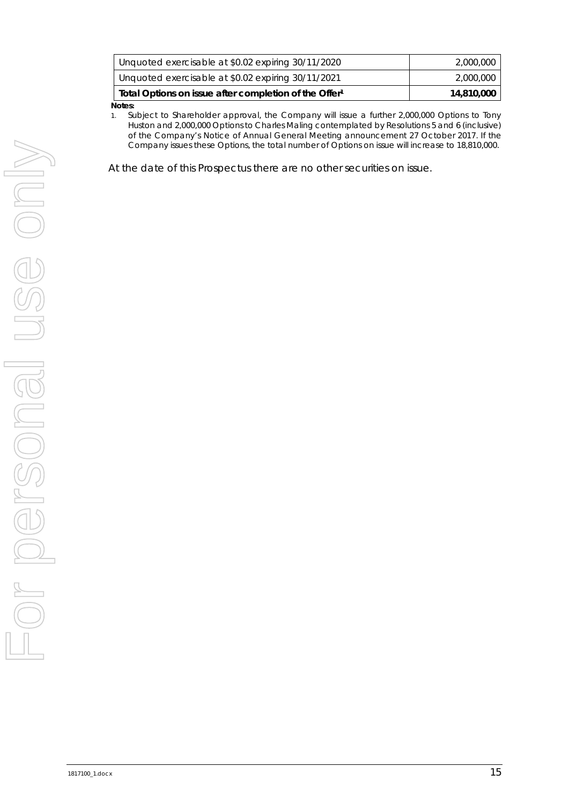| ntas.                                                             |            |
|-------------------------------------------------------------------|------------|
| Total Options on issue after completion of the Offer <sup>1</sup> | 14,810,000 |
| Unquoted exercisable at \$0.02 expiring 30/11/2021                | 2,000,000  |
| Unquoted exercisable at \$0.02 expiring 30/11/2020                | 2,000,000  |
|                                                                   |            |

**Notes:** 

1. Subject to Shareholder approval, the Company will issue a further 2,000,000 Options to Tony Huston and 2,000,000 Options to Charles Maling contemplated by Resolutions 5 and 6 (inclusive) of the Company's Notice of Annual General Meeting announcement 27 October 2017. If the Company issues these Options, the total number of Options on issue will increase to 18,810,000.

At the date of this Prospectus there are no other securities on issue.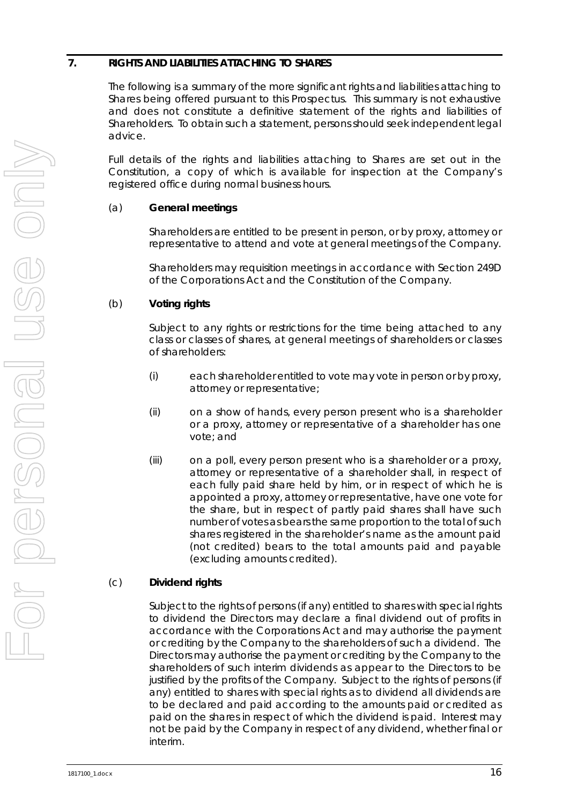# <span id="page-17-0"></span>**7. RIGHTS AND LIABILITIES ATTACHING TO SHARES**

The following is a summary of the more significant rights and liabilities attaching to Shares being offered pursuant to this Prospectus. This summary is not exhaustive and does not constitute a definitive statement of the rights and liabilities of Shareholders. To obtain such a statement, persons should seek independent legal advice.

Full details of the rights and liabilities attaching to Shares are set out in the Constitution, a copy of which is available for inspection at the Company's registered office during normal business hours.

# (a) **General meetings**

Shareholders are entitled to be present in person, or by proxy, attorney or representative to attend and vote at general meetings of the Company.

Shareholders may requisition meetings in accordance with Section 249D of the Corporations Act and the Constitution of the Company.

# (b) **Voting rights**

Subject to any rights or restrictions for the time being attached to any class or classes of shares, at general meetings of shareholders or classes of shareholders:

- (i) each shareholder entitled to vote may vote in person or by proxy, attorney or representative;
- (ii) on a show of hands, every person present who is a shareholder or a proxy, attorney or representative of a shareholder has one vote; and
- (iii) on a poll, every person present who is a shareholder or a proxy, attorney or representative of a shareholder shall, in respect of each fully paid share held by him, or in respect of which he is appointed a proxy, attorney or representative, have one vote for the share, but in respect of partly paid shares shall have such number of votes as bears the same proportion to the total of such shares registered in the shareholder's name as the amount paid (not credited) bears to the total amounts paid and payable (excluding amounts credited).

# (c) **Dividend rights**

Subject to the rights of persons (if any) entitled to shares with special rights to dividend the Directors may declare a final dividend out of profits in accordance with the Corporations Act and may authorise the payment or crediting by the Company to the shareholders of such a dividend. The Directors may authorise the payment or crediting by the Company to the shareholders of such interim dividends as appear to the Directors to be justified by the profits of the Company. Subject to the rights of persons (if any) entitled to shares with special rights as to dividend all dividends are to be declared and paid according to the amounts paid or credited as paid on the shares in respect of which the dividend is paid. Interest may not be paid by the Company in respect of any dividend, whether final or interim.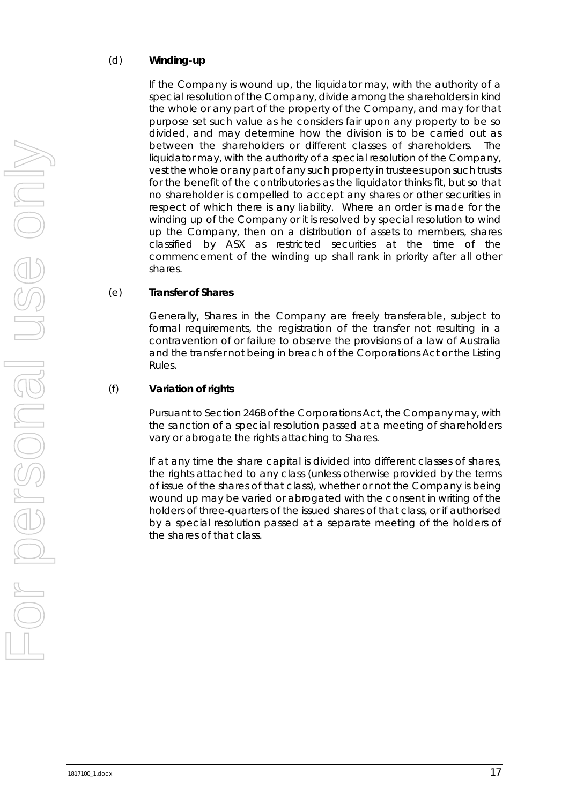#### (d) **Winding-up**

If the Company is wound up, the liquidator may, with the authority of a special resolution of the Company, divide among the shareholders in kind the whole or any part of the property of the Company, and may for that purpose set such value as he considers fair upon any property to be so divided, and may determine how the division is to be carried out as between the shareholders or different classes of shareholders. The liquidator may, with the authority of a special resolution of the Company, vest the whole or any part of any such property in trustees upon such trusts for the benefit of the contributories as the liquidator thinks fit, but so that no shareholder is compelled to accept any shares or other securities in respect of which there is any liability. Where an order is made for the winding up of the Company or it is resolved by special resolution to wind up the Company, then on a distribution of assets to members, shares classified by ASX as restricted securities at the time of the commencement of the winding up shall rank in priority after all other shares.

#### (e) **Transfer of Shares**

Generally, Shares in the Company are freely transferable, subject to formal requirements, the registration of the transfer not resulting in a contravention of or failure to observe the provisions of a law of Australia and the transfer not being in breach of the Corporations Act or the Listing Rules.

#### (f) **Variation of rights**

Pursuant to Section 246B of the Corporations Act, the Company may, with the sanction of a special resolution passed at a meeting of shareholders vary or abrogate the rights attaching to Shares.

If at any time the share capital is divided into different classes of shares, the rights attached to any class (unless otherwise provided by the terms of issue of the shares of that class), whether or not the Company is being wound up may be varied or abrogated with the consent in writing of the holders of three-quarters of the issued shares of that class, or if authorised by a special resolution passed at a separate meeting of the holders of the shares of that class.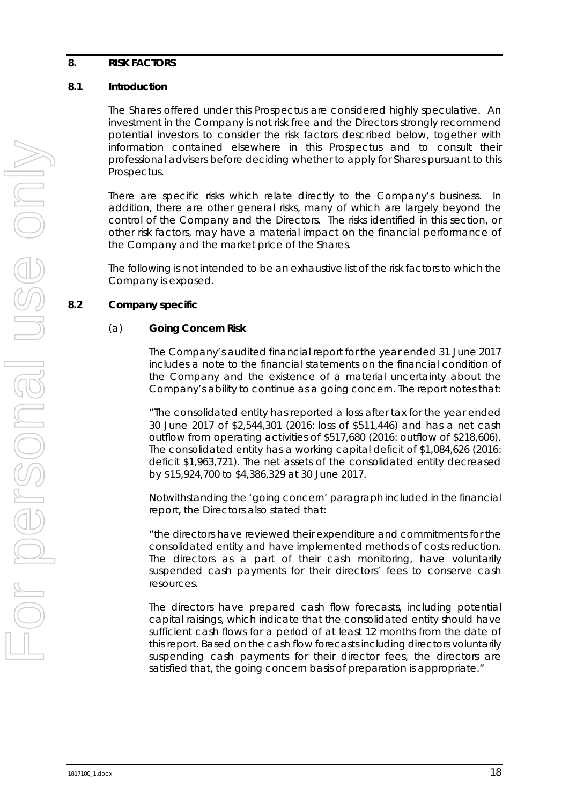#### <span id="page-19-0"></span>**8. RISK FACTORS**

#### **8.1 Introduction**

The Shares offered under this Prospectus are considered highly speculative. An investment in the Company is not risk free and the Directors strongly recommend potential investors to consider the risk factors described below, together with information contained elsewhere in this Prospectus and to consult their professional advisers before deciding whether to apply for Shares pursuant to this Prospectus.

There are specific risks which relate directly to the Company's business. In addition, there are other general risks, many of which are largely beyond the control of the Company and the Directors. The risks identified in this section, or other risk factors, may have a material impact on the financial performance of the Company and the market price of the Shares.

The following is not intended to be an exhaustive list of the risk factors to which the Company is exposed.

# <span id="page-19-1"></span>**8.2 Company specific**

#### (a) **Going Concern Risk**

The Company's audited financial report for the year ended 31 June 2017 includes a note to the financial statements on the financial condition of the Company and the existence of a material uncertainty about the Company's ability to continue as a going concern. The report notes that:

"*The consolidated entity has reported a loss after tax for the year ended 30 June 2017 of \$2,544,301 (2016: loss of \$511,446) and has a net cash outflow from operating activities of \$517,680 (2016: outflow of \$218,606). The consolidated entity has a working capital deficit of \$1,084,626 (2016: deficit \$1,963,721). The net assets of the consolidated entity decreased by \$15,924,700 to \$4,386,329 at 30 June 2017.* 

Notwithstanding the 'going concern' paragraph included in the financial report, the Directors also stated that:

*"the directors have reviewed their expenditure and commitments for the consolidated entity and have implemented methods of costs reduction. The directors as a part of their cash monitoring, have voluntarily suspended cash payments for their directors' fees to conserve cash resources.*

*The directors have prepared cash flow forecasts, including potential capital raisings, which indicate that the consolidated entity should have sufficient cash flows for a period of at least 12 months from the date of this report. Based on the cash flow forecasts including directors voluntarily suspending cash payments for their director fees, the directors are satisfied that, the going concern basis of preparation is appropriate."*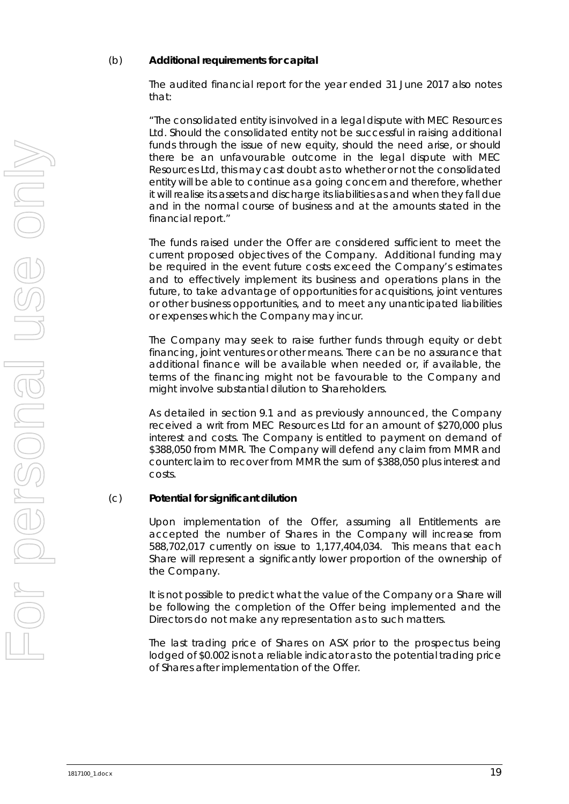#### <span id="page-20-0"></span>(b) **Additional requirements for capital**

The audited financial report for the year ended 31 June 2017 also notes that:

*"The consolidated entity is involved in a legal dispute with MEC Resources*  Ltd. Should the consolidated entity not be successful in raising additional funds through the issue of new equity, should the need arise, or should *there be an unfavourable outcome in the legal dispute with MEC Resources Ltd, this may cast doubt as to whether or not the consolidated entity will be able to continue as a going concern and therefore, whether it will realise its assets and discharge its liabilities as and when they fall due and in the normal course of business and at the amounts stated in the financial report."*

The funds raised under the Offer are considered sufficient to meet the current proposed objectives of the Company. Additional funding may be required in the event future costs exceed the Company's estimates and to effectively implement its business and operations plans in the future, to take advantage of opportunities for acquisitions, joint ventures or other business opportunities, and to meet any unanticipated liabilities or expenses which the Company may incur.

The Company may seek to raise further funds through equity or debt financing, joint ventures or other means. There can be no assurance that additional finance will be available when needed or, if available, the terms of the financing might not be favourable to the Company and might involve substantial dilution to Shareholders.

As detailed in section [9.1](#page-28-1) and as previously announced, the Company received a writ from MEC Resources Ltd for an amount of \$270,000 plus interest and costs. The Company is entitled to payment on demand of \$388,050 from MMR. The Company will defend any claim from MMR and counterclaim to recover from MMR the sum of \$388,050 plus interest and costs.

#### <span id="page-20-1"></span>(c) **Potential for significant dilution**

Upon implementation of the Offer, assuming all Entitlements are accepted the number of Shares in the Company will increase from 588,702,017 currently on issue to 1,177,404,034. This means that each Share will represent a significantly lower proportion of the ownership of the Company.

It is not possible to predict what the value of the Company or a Share will be following the completion of the Offer being implemented and the Directors do not make any representation as to such matters.

The last trading price of Shares on ASX prior to the prospectus being lodged of \$0.002 is not a reliable indicator as to the potential trading price of Shares after implementation of the Offer.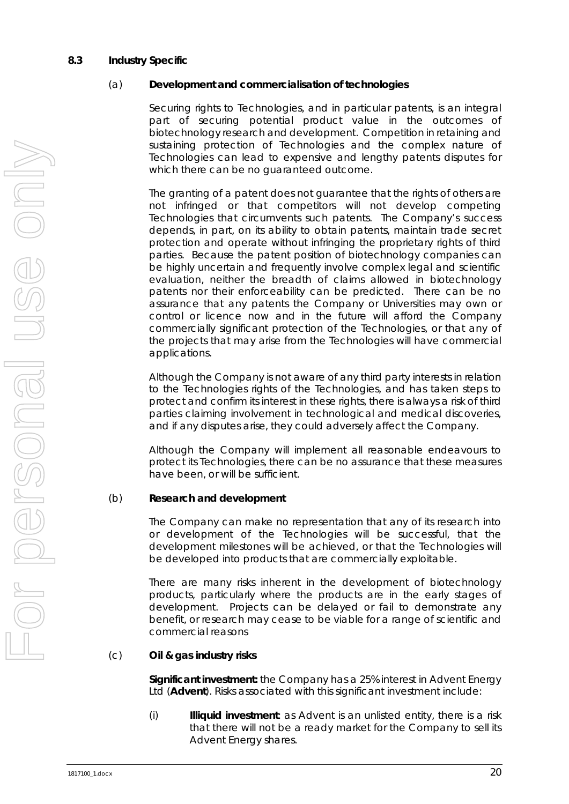#### <span id="page-21-0"></span>**8.3 Industry Specific**

#### (a) **Development and commercialisation of technologies**

Securing rights to Technologies, and in particular patents, is an integral part of securing potential product value in the outcomes of biotechnology research and development. Competition in retaining and sustaining protection of Technologies and the complex nature of Technologies can lead to expensive and lengthy patents disputes for which there can be no guaranteed outcome.

The granting of a patent does not guarantee that the rights of others are not infringed or that competitors will not develop competing Technologies that circumvents such patents. The Company's success depends, in part, on its ability to obtain patents, maintain trade secret protection and operate without infringing the proprietary rights of third parties. Because the patent position of biotechnology companies can be highly uncertain and frequently involve complex legal and scientific evaluation, neither the breadth of claims allowed in biotechnology patents nor their enforceability can be predicted. There can be no assurance that any patents the Company or Universities may own or control or licence now and in the future will afford the Company commercially significant protection of the Technologies, or that any of the projects that may arise from the Technologies will have commercial applications.

Although the Company is not aware of any third party interests in relation to the Technologies rights of the Technologies, and has taken steps to protect and confirm its interest in these rights, there is always a risk of third parties claiming involvement in technological and medical discoveries, and if any disputes arise, they could adversely affect the Company.

Although the Company will implement all reasonable endeavours to protect its Technologies, there can be no assurance that these measures have been, or will be sufficient.

#### <span id="page-21-1"></span>(b) **Research and development**

The Company can make no representation that any of its research into or development of the Technologies will be successful, that the development milestones will be achieved, or that the Technologies will be developed into products that are commercially exploitable.

There are many risks inherent in the development of biotechnology products, particularly where the products are in the early stages of development. Projects can be delayed or fail to demonstrate any benefit, or research may cease to be viable for a range of scientific and commercial reasons

#### <span id="page-21-2"></span>(c) **Oil & gas industry risks**

**Significant investment:** the Company has a 25% interest in Advent Energy Ltd (**Advent**). Risks associated with this significant investment include:

(i) **Illiquid investment**: as Advent is an unlisted entity, there is a risk that there will not be a ready market for the Company to sell its Advent Energy shares.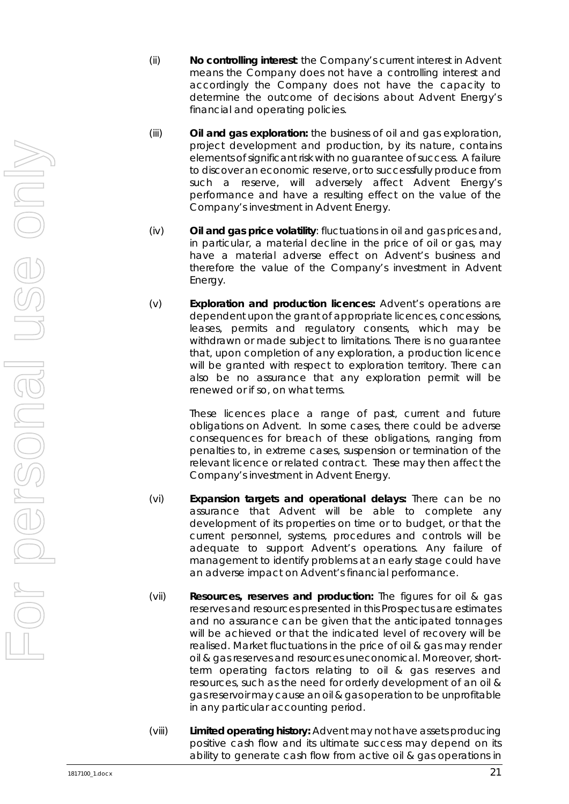- (ii) **No controlling interest**: the Company's current interest in Advent means the Company does not have a controlling interest and accordingly the Company does not have the capacity to determine the outcome of decisions about Advent Energy's financial and operating policies.
- (iii) **Oil and gas exploration:** the business of oil and gas exploration, project development and production, by its nature, contains elements of significant risk with no guarantee of success. A failure to discover an economic reserve, or to successfully produce from such a reserve, will adversely affect Advent Energy's performance and have a resulting effect on the value of the Company's investment in Advent Energy.
- (iv) **Oil and gas price volatility**: fluctuations in oil and gas prices and, in particular, a material decline in the price of oil or gas, may have a material adverse effect on Advent's business and therefore the value of the Company's investment in Advent Energy.
- (v) **Exploration and production licences:** Advent's operations are dependent upon the grant of appropriate licences, concessions, leases, permits and regulatory consents, which may be withdrawn or made subject to limitations. There is no guarantee that, upon completion of any exploration, a production licence will be granted with respect to exploration territory. There can also be no assurance that any exploration permit will be renewed or if so, on what terms.

These licences place a range of past, current and future obligations on Advent. In some cases, there could be adverse consequences for breach of these obligations, ranging from penalties to, in extreme cases, suspension or termination of the relevant licence or related contract. These may then affect the Company's investment in Advent Energy.

- (vi) **Expansion targets and operational delays:** There can be no assurance that Advent will be able to complete any development of its properties on time or to budget, or that the current personnel, systems, procedures and controls will be adequate to support Advent's operations. Any failure of management to identify problems at an early stage could have an adverse impact on Advent's financial performance.
- (vii) **Resources, reserves and production:** The figures for oil & gas reserves and resources presented in this Prospectus are estimates and no assurance can be given that the anticipated tonnages will be achieved or that the indicated level of recovery will be realised. Market fluctuations in the price of oil & gas may render oil & gas reserves and resources uneconomical. Moreover, shortterm operating factors relating to oil & gas reserves and resources, such as the need for orderly development of an oil & gas reservoir may cause an oil & gas operation to be unprofitable in any particular accounting period.
- (viii) **Limited operating history:** Advent may not have assets producing positive cash flow and its ultimate success may depend on its ability to generate cash flow from active oil & gas operations in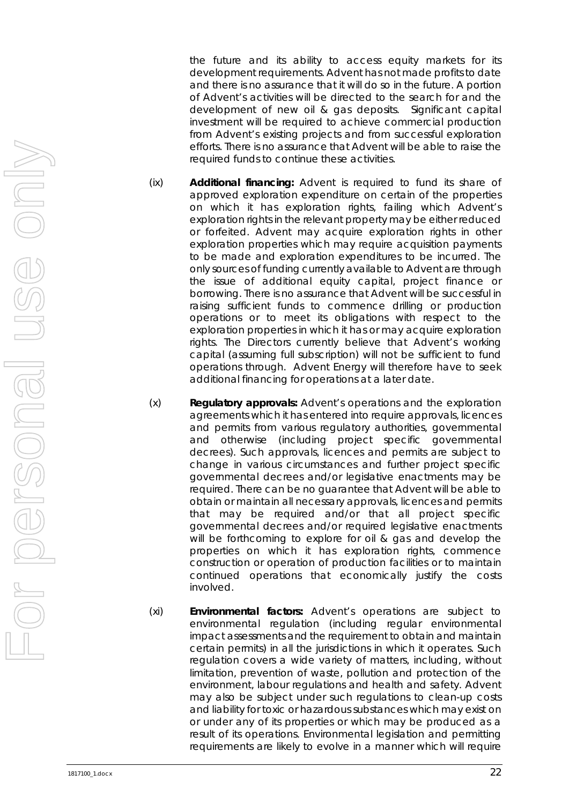the future and its ability to access equity markets for its development requirements. Advent has not made profits to date and there is no assurance that it will do so in the future. A portion of Advent's activities will be directed to the search for and the development of new oil & gas deposits. Significant capital investment will be required to achieve commercial production from Advent's existing projects and from successful exploration efforts. There is no assurance that Advent will be able to raise the required funds to continue these activities.

- (ix) **Additional financing:** Advent is required to fund its share of approved exploration expenditure on certain of the properties on which it has exploration rights, failing which Advent's exploration rights in the relevant property may be either reduced or forfeited. Advent may acquire exploration rights in other exploration properties which may require acquisition payments to be made and exploration expenditures to be incurred. The only sources of funding currently available to Advent are through the issue of additional equity capital, project finance or borrowing. There is no assurance that Advent will be successful in raising sufficient funds to commence drilling or production operations or to meet its obligations with respect to the exploration properties in which it has or may acquire exploration rights. The Directors currently believe that Advent's working capital (assuming full subscription) will not be sufficient to fund operations through. Advent Energy will therefore have to seek additional financing for operations at a later date.
- (x) **Regulatory approvals:** Advent's operations and the exploration agreements which it has entered into require approvals, licences and permits from various regulatory authorities, governmental and otherwise (including project specific governmental decrees). Such approvals, licences and permits are subject to change in various circumstances and further project specific governmental decrees and/or legislative enactments may be required. There can be no guarantee that Advent will be able to obtain or maintain all necessary approvals, licences and permits that may be required and/or that all project specific governmental decrees and/or required legislative enactments will be forthcoming to explore for oil & gas and develop the properties on which it has exploration rights, commence construction or operation of production facilities or to maintain continued operations that economically justify the costs involved.
- (xi) **Environmental factors:** Advent's operations are subject to environmental regulation (including regular environmental impact assessments and the requirement to obtain and maintain certain permits) in all the jurisdictions in which it operates. Such regulation covers a wide variety of matters, including, without limitation, prevention of waste, pollution and protection of the environment, labour regulations and health and safety. Advent may also be subject under such regulations to clean-up costs and liability for toxic or hazardous substances which may exist on or under any of its properties or which may be produced as a result of its operations. Environmental legislation and permitting requirements are likely to evolve in a manner which will require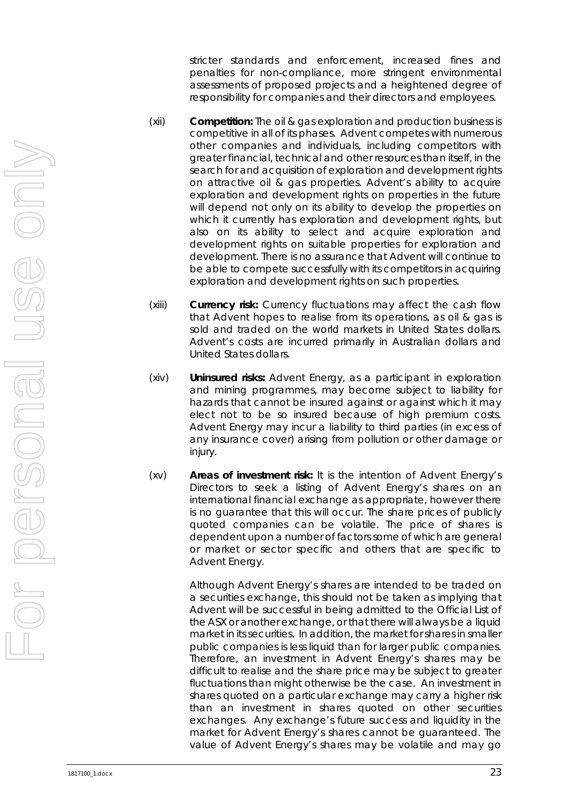stricter standards and enforcement, increased fines and penalties for non-compliance, more stringent environmental assessments of proposed projects and a heightened degree of responsibility for companies and their directors and employees.

- (xii) **Competition:** The oil & gas exploration and production business is competitive in all of its phases. Advent competes with numerous other companies and individuals, including competitors with greater financial, technical and other resources than itself, in the search for and acquisition of exploration and development rights on attractive oil & gas properties. Advent's ability to acquire exploration and development rights on properties in the future will depend not only on its ability to develop the properties on which it currently has exploration and development rights, but also on its ability to select and acquire exploration and development rights on suitable properties for exploration and development. There is no assurance that Advent will continue to be able to compete successfully with its competitors in acquiring exploration and development rights on such properties.
- (xiii) **Currency risk:** Currency fluctuations may affect the cash flow that Advent hopes to realise from its operations, as oil & gas is sold and traded on the world markets in United States dollars. Advent's costs are incurred primarily in Australian dollars and United States dollars.
- (xiv) **Uninsured risks:** Advent Energy, as a participant in exploration and mining programmes, may become subject to liability for hazards that cannot be insured against or against which it may elect not to be so insured because of high premium costs. Advent Energy may incur a liability to third parties (in excess of any insurance cover) arising from pollution or other damage or injury.
- (xv) **Areas of investment risk:** It is the intention of Advent Energy's Directors to seek a listing of Advent Energy's shares on an international financial exchange as appropriate, however there is no guarantee that this will occur. The share prices of publicly quoted companies can be volatile. The price of shares is dependent upon a number of factors some of which are general or market or sector specific and others that are specific to Advent Energy.

Although Advent Energy's shares are intended to be traded on a securities exchange, this should not be taken as implying that Advent will be successful in being admitted to the Official List of the ASX or another exchange, or that there will always be a liquid market in its securities. In addition, the market for shares in smaller public companies is less liquid than for larger public companies. Therefore, an investment in Advent Energy's shares may be difficult to realise and the share price may be subject to greater fluctuations than might otherwise be the case. An investment in shares quoted on a particular exchange may carry a higher risk than an investment in shares quoted on other securities exchanges. Any exchange's future success and liquidity in the market for Advent Energy's shares cannot be guaranteed. The value of Advent Energy's shares may be volatile and may go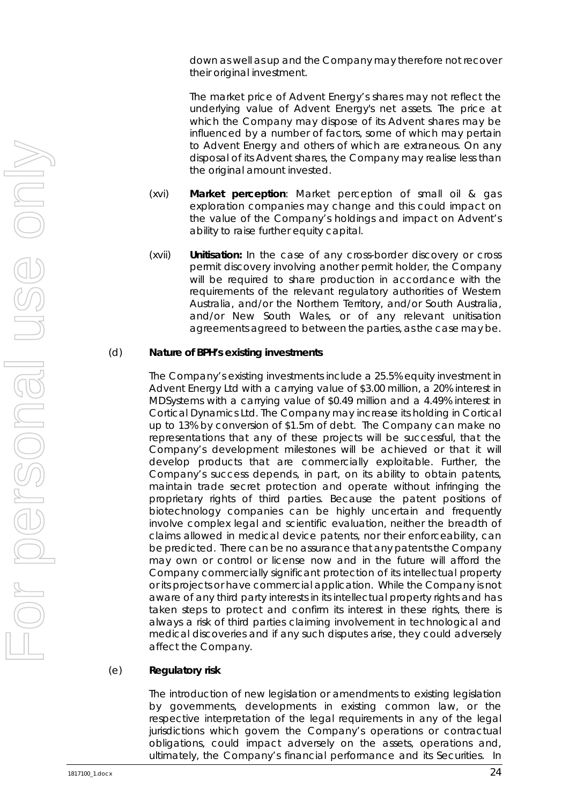down as well as up and the Company may therefore not recover their original investment.

The market price of Advent Energy's shares may not reflect the underlying value of Advent Energy's net assets. The price at which the Company may dispose of its Advent shares may be influenced by a number of factors, some of which may pertain to Advent Energy and others of which are extraneous. On any disposal of its Advent shares, the Company may realise less than the original amount invested.

- (xvi) **Market perception**: Market perception of small oil & gas exploration companies may change and this could impact on the value of the Company's holdings and impact on Advent's ability to raise further equity capital.
- (xvii) **Unitisation:** In the case of any cross-border discovery or cross permit discovery involving another permit holder, the Company will be required to share production in accordance with the requirements of the relevant regulatory authorities of Western Australia, and/or the Northern Territory, and/or South Australia, and/or New South Wales, or of any relevant unitisation agreements agreed to between the parties, as the case may be.

#### <span id="page-25-0"></span>(d) **Nature of BPH's existing investments**

The Company's existing investments include a 25.5% equity investment in Advent Energy Ltd with a carrying value of \$3.00 million, a 20% interest in MDSystems with a carrying value of \$0.49 million and a 4.49% interest in Cortical Dynamics Ltd. The Company may increase its holding in Cortical up to 13% by conversion of \$1.5m of debt. The Company can make no representations that any of these projects will be successful, that the Company's development milestones will be achieved or that it will develop products that are commercially exploitable. Further, the Company's success depends, in part, on its ability to obtain patents, maintain trade secret protection and operate without infringing the proprietary rights of third parties. Because the patent positions of biotechnology companies can be highly uncertain and frequently involve complex legal and scientific evaluation, neither the breadth of claims allowed in medical device patents, nor their enforceability, can be predicted. There can be no assurance that any patents the Company may own or control or license now and in the future will afford the Company commercially significant protection of its intellectual property or its projects or have commercial application. While the Company is not aware of any third party interests in its intellectual property rights and has taken steps to protect and confirm its interest in these rights, there is always a risk of third parties claiming involvement in technological and medical discoveries and if any such disputes arise, they could adversely affect the Company.

#### (e) **Regulatory risk**

The introduction of new legislation or amendments to existing legislation by governments, developments in existing common law, or the respective interpretation of the legal requirements in any of the legal jurisdictions which govern the Company's operations or contractual obligations, could impact adversely on the assets, operations and, ultimately, the Company's financial performance and its Securities. In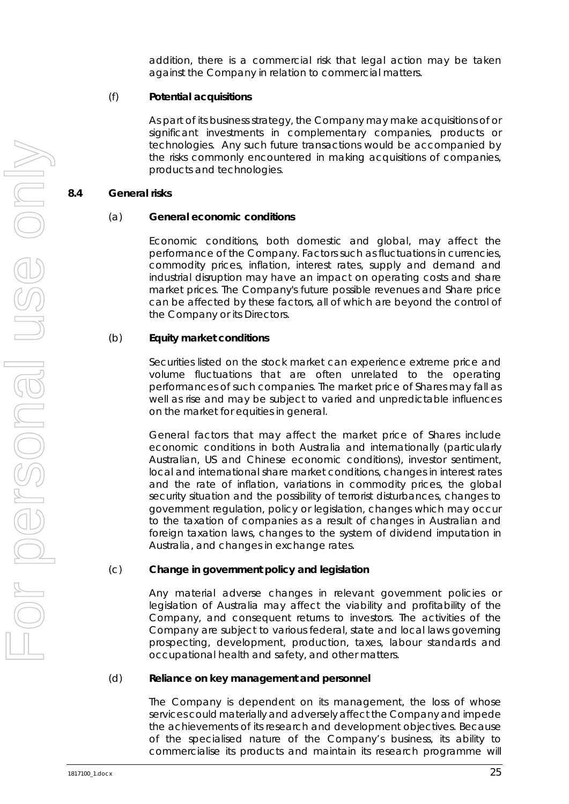addition, there is a commercial risk that legal action may be taken against the Company in relation to commercial matters.

#### (f) **Potential acquisitions**

As part of its business strategy, the Company may make acquisitions of or significant investments in complementary companies, products or technologies. Any such future transactions would be accompanied by the risks commonly encountered in making acquisitions of companies, products and technologies.

#### **8.4 General risks**

#### (a) **General economic conditions**

Economic conditions, both domestic and global, may affect the performance of the Company. Factors such as fluctuations in currencies, commodity prices, inflation, interest rates, supply and demand and industrial disruption may have an impact on operating costs and share market prices. The Company's future possible revenues and Share price can be affected by these factors, all of which are beyond the control of the Company or its Directors.

#### (b) **Equity market conditions**

Securities listed on the stock market can experience extreme price and volume fluctuations that are often unrelated to the operating performances of such companies. The market price of Shares may fall as well as rise and may be subject to varied and unpredictable influences on the market for equities in general.

General factors that may affect the market price of Shares include economic conditions in both Australia and internationally (particularly Australian, US and Chinese economic conditions), investor sentiment, local and international share market conditions, changes in interest rates and the rate of inflation, variations in commodity prices, the global security situation and the possibility of terrorist disturbances, changes to government regulation, policy or legislation, changes which may occur to the taxation of companies as a result of changes in Australian and foreign taxation laws, changes to the system of dividend imputation in Australia, and changes in exchange rates.

#### (c) **Change in government policy and legislation**

Any material adverse changes in relevant government policies or legislation of Australia may affect the viability and profitability of the Company, and consequent returns to investors. The activities of the Company are subject to various federal, state and local laws governing prospecting, development, production, taxes, labour standards and occupational health and safety, and other matters.

#### (d) **Reliance on key management and personnel**

The Company is dependent on its management, the loss of whose services could materially and adversely affect the Company and impede the achievements of its research and development objectives. Because of the specialised nature of the Company's business, its ability to commercialise its products and maintain its research programme will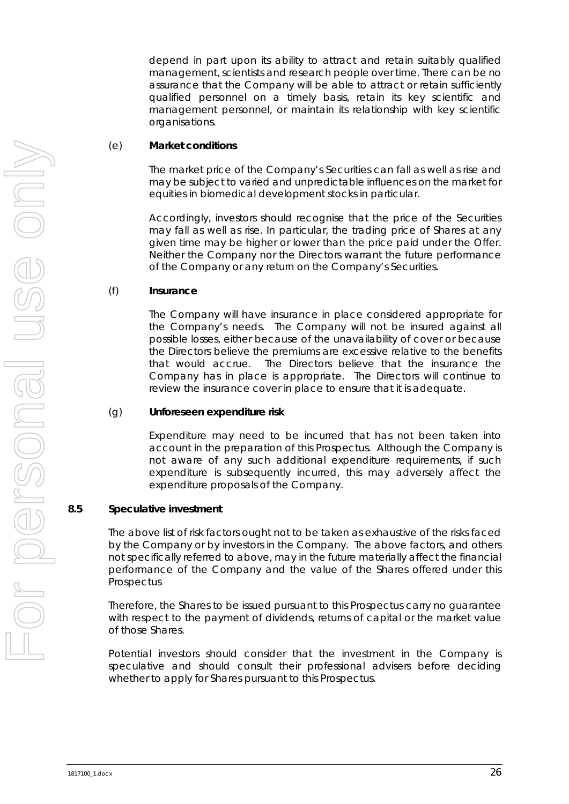depend in part upon its ability to attract and retain suitably qualified management, scientists and research people over time. There can be no assurance that the Company will be able to attract or retain sufficiently qualified personnel on a timely basis, retain its key scientific and management personnel, or maintain its relationship with key scientific organisations.

#### (e) **Market conditions**

The market price of the Company's Securities can fall as well as rise and may be subject to varied and unpredictable influences on the market for equities in biomedical development stocks in particular.

Accordingly, investors should recognise that the price of the Securities may fall as well as rise. In particular, the trading price of Shares at any given time may be higher or lower than the price paid under the Offer. Neither the Company nor the Directors warrant the future performance of the Company or any return on the Company's Securities.

# (f) **Insurance**

The Company will have insurance in place considered appropriate for the Company's needs. The Company will not be insured against all possible losses, either because of the unavailability of cover or because the Directors believe the premiums are excessive relative to the benefits that would accrue. The Directors believe that the insurance the Company has in place is appropriate. The Directors will continue to review the insurance cover in place to ensure that it is adequate.

#### (g) **Unforeseen expenditure risk**

Expenditure may need to be incurred that has not been taken into account in the preparation of this Prospectus. Although the Company is not aware of any such additional expenditure requirements, if such expenditure is subsequently incurred, this may adversely affect the expenditure proposals of the Company.

#### **8.5 Speculative investment**

The above list of risk factors ought not to be taken as exhaustive of the risks faced by the Company or by investors in the Company. The above factors, and others not specifically referred to above, may in the future materially affect the financial performance of the Company and the value of the Shares offered under this **Prospectus** 

Therefore, the Shares to be issued pursuant to this Prospectus carry no guarantee with respect to the payment of dividends, returns of capital or the market value of those Shares.

Potential investors should consider that the investment in the Company is speculative and should consult their professional advisers before deciding whether to apply for Shares pursuant to this Prospectus.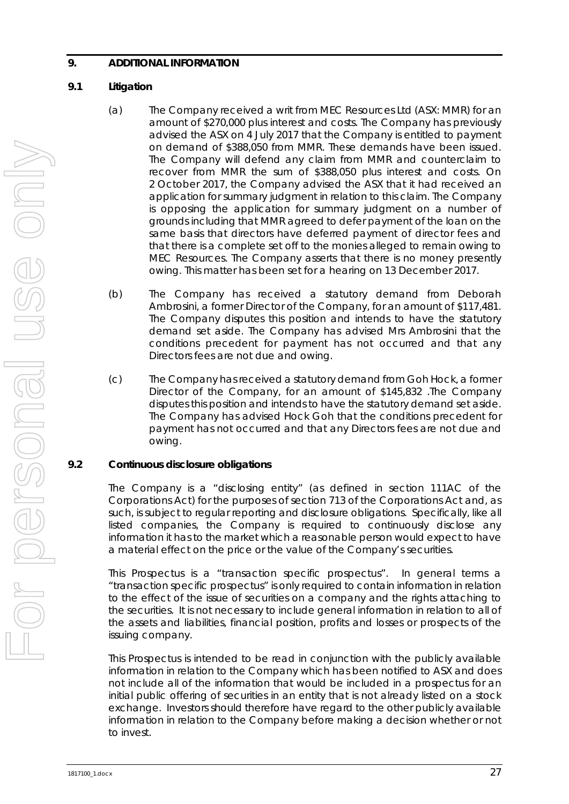# <span id="page-28-0"></span>**9. ADDITIONAL INFORMATION**

# <span id="page-28-1"></span>**9.1 Litigation**

- (a) The Company received a writ from MEC Resources Ltd (ASX: MMR) for an amount of \$270,000 plus interest and costs. The Company has previously advised the ASX on 4 July 2017 that the Company is entitled to payment on demand of \$388,050 from MMR. These demands have been issued. The Company will defend any claim from MMR and counterclaim to recover from MMR the sum of \$388,050 plus interest and costs. On 2 October 2017, the Company advised the ASX that it had received an application for summary judgment in relation to this claim. The Company is opposing the application for summary judgment on a number of grounds including that MMR agreed to defer payment of the loan on the same basis that directors have deferred payment of director fees and that there is a complete set off to the monies alleged to remain owing to MEC Resources. The Company asserts that there is no money presently owing. This matter has been set for a hearing on 13 December 2017.
- (b) The Company has received a statutory demand from Deborah Ambrosini, a former Director of the Company, for an amount of \$117,481. The Company disputes this position and intends to have the statutory demand set aside. The Company has advised Mrs Ambrosini that the conditions precedent for payment has not occurred and that any Directors fees are not due and owing.
- (c) The Company has received a statutory demand from Goh Hock, a former Director of the Company, for an amount of \$145,832 .The Company disputes this position and intends to have the statutory demand set aside. The Company has advised Hock Goh that the conditions precedent for payment has not occurred and that any Directors fees are not due and owing.

# **9.2 Continuous disclosure obligations**

The Company is a "disclosing entity" (as defined in section 111AC of the Corporations Act) for the purposes of section 713 of the Corporations Act and, as such, is subject to regular reporting and disclosure obligations. Specifically, like all listed companies, the Company is required to continuously disclose any information it has to the market which a reasonable person would expect to have a material effect on the price or the value of the Company's securities.

This Prospectus is a "transaction specific prospectus". In general terms a "transaction specific prospectus" is only required to contain information in relation to the effect of the issue of securities on a company and the rights attaching to the securities. It is not necessary to include general information in relation to all of the assets and liabilities, financial position, profits and losses or prospects of the issuing company.

This Prospectus is intended to be read in conjunction with the publicly available information in relation to the Company which has been notified to ASX and does not include all of the information that would be included in a prospectus for an initial public offering of securities in an entity that is not already listed on a stock exchange. Investors should therefore have regard to the other publicly available information in relation to the Company before making a decision whether or not to invest.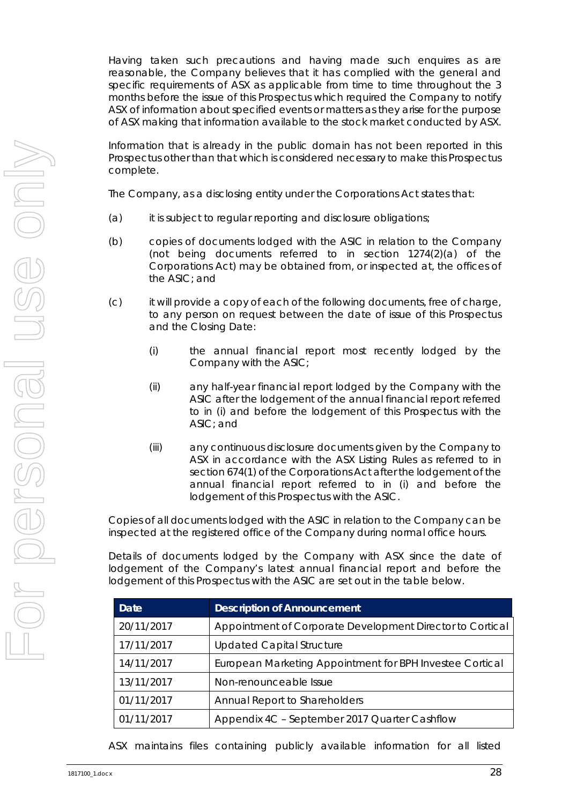Having taken such precautions and having made such enquires as are reasonable, the Company believes that it has complied with the general and specific requirements of ASX as applicable from time to time throughout the 3 months before the issue of this Prospectus which required the Company to notify ASX of information about specified events or matters as they arise for the purpose of ASX making that information available to the stock market conducted by ASX.

Information that is already in the public domain has not been reported in this Prospectus other than that which is considered necessary to make this Prospectus complete.

The Company, as a disclosing entity under the Corporations Act states that:

- (a) it is subject to regular reporting and disclosure obligations;
- (b) copies of documents lodged with the ASIC in relation to the Company (not being documents referred to in section 1274(2)(a) of the Corporations Act) may be obtained from, or inspected at, the offices of the ASIC; and
- (c) it will provide a copy of each of the following documents, free of charge, to any person on request between the date of issue of this Prospectus and the Closing Date:
	- (i) the annual financial report most recently lodged by the Company with the ASIC;
	- (ii) any half-year financial report lodged by the Company with the ASIC after the lodgement of the annual financial report referred to in (i) and before the lodgement of this Prospectus with the ASIC; and
	- (iii) any continuous disclosure documents given by the Company to ASX in accordance with the ASX Listing Rules as referred to in section 674(1) of the Corporations Act after the lodgement of the annual financial report referred to in (i) and before the lodgement of this Prospectus with the ASIC.

Copies of all documents lodged with the ASIC in relation to the Company can be inspected at the registered office of the Company during normal office hours.

Details of documents lodged by the Company with ASX since the date of lodgement of the Company's latest annual financial report and before the lodgement of this Prospectus with the ASIC are set out in the table below.

| Date       | <b>Description of Announcement</b>                        |
|------------|-----------------------------------------------------------|
| 20/11/2017 | Appointment of Corporate Development Director to Cortical |
| 17/11/2017 | <b>Updated Capital Structure</b>                          |
| 14/11/2017 | European Marketing Appointment for BPH Investee Cortical  |
| 13/11/2017 | Non-renounceable Issue                                    |
| 01/11/2017 | Annual Report to Shareholders                             |
| 01/11/2017 | Appendix 4C - September 2017 Quarter Cashflow             |

ASX maintains files containing publicly available information for all listed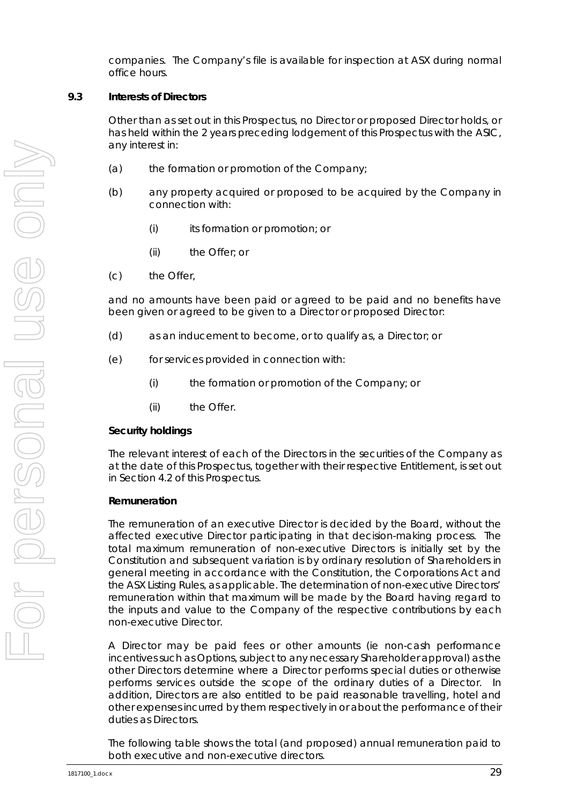companies. The Company's file is available for inspection at ASX during normal office hours.

#### **9.3 Interests of Directors**

Other than as set out in this Prospectus, no Director or proposed Director holds, or has held within the 2 years preceding lodgement of this Prospectus with the ASIC, any interest in:

- (a) the formation or promotion of the Company;
- (b) any property acquired or proposed to be acquired by the Company in connection with:
	- (i) its formation or promotion; or
	- (ii) the Offer; or
- (c) the Offer,

and no amounts have been paid or agreed to be paid and no benefits have been given or agreed to be given to a Director or proposed Director:

- (d) as an inducement to become, or to qualify as, a Director; or
- (e) for services provided in connection with:
	- (i) the formation or promotion of the Company; or
	- (ii) the Offer.

#### *Security holdings*

The relevant interest of each of the Directors in the securities of the Company as at the date of this Prospectus, together with their respective Entitlement, is set out in Section [4.2](#page-6-0) of this Prospectus.

#### *Remuneration*

The remuneration of an executive Director is decided by the Board, without the affected executive Director participating in that decision-making process. The total maximum remuneration of non-executive Directors is initially set by the Constitution and subsequent variation is by ordinary resolution of Shareholders in general meeting in accordance with the Constitution, the Corporations Act and the ASX Listing Rules, as applicable. The determination of non-executive Directors' remuneration within that maximum will be made by the Board having regard to the inputs and value to the Company of the respective contributions by each non-executive Director.

A Director may be paid fees or other amounts (ie non-cash performance incentives such as Options, subject to any necessary Shareholder approval) as the other Directors determine where a Director performs special duties or otherwise performs services outside the scope of the ordinary duties of a Director. In addition, Directors are also entitled to be paid reasonable travelling, hotel and other expenses incurred by them respectively in or about the performance of their duties as Directors.

The following table shows the total (and proposed) annual remuneration paid to both executive and non-executive directors.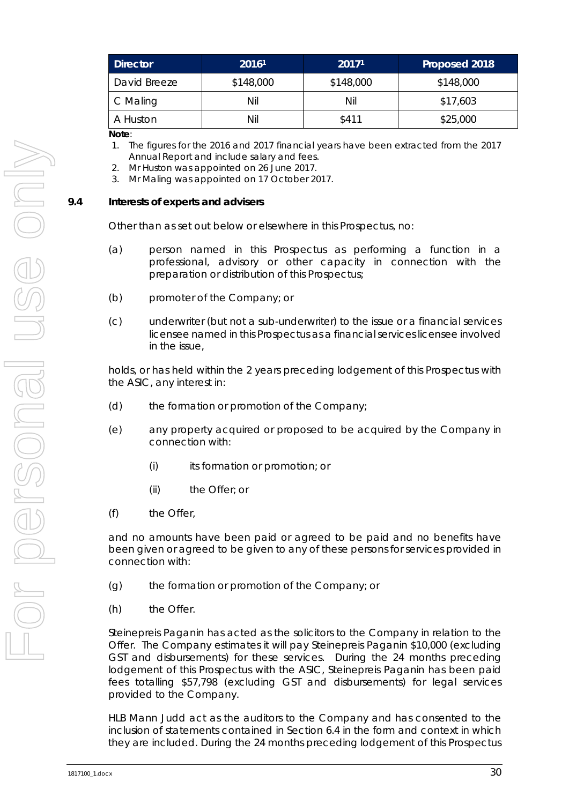| <b>Director</b> | 20161     | 20171     | Proposed 2018 |
|-----------------|-----------|-----------|---------------|
| David Breeze    | \$148,000 | \$148,000 | \$148,000     |
| C Maling        | Nil       | Nil       | \$17,603      |
| A Huston        | Nil       | \$411     | \$25,000      |

**Note**:

- 1. The figures for the 2016 and 2017 financial years have been extracted from the 2017 Annual Report and include salary and fees.
- 2. Mr Huston was appointed on 26 June 2017.
- 3. Mr Maling was appointed on 17 October 2017.

#### **9.4 Interests of experts and advisers**

Other than as set out below or elsewhere in this Prospectus, no:

- (a) person named in this Prospectus as performing a function in a professional, advisory or other capacity in connection with the preparation or distribution of this Prospectus;
- (b) promoter of the Company; or
- (c) underwriter (but not a sub-underwriter) to the issue or a financial services licensee named in this Prospectus as a financial services licensee involved in the issue,

holds, or has held within the 2 years preceding lodgement of this Prospectus with the ASIC, any interest in:

- (d) the formation or promotion of the Company;
- (e) any property acquired or proposed to be acquired by the Company in connection with:
	- (i) its formation or promotion; or
	- (ii) the Offer; or
- (f) the Offer,

and no amounts have been paid or agreed to be paid and no benefits have been given or agreed to be given to any of these persons for services provided in connection with:

- (g) the formation or promotion of the Company; or
- (h) the Offer.

Steinepreis Paganin has acted as the solicitors to the Company in relation to the Offer. The Company estimates it will pay Steinepreis Paganin \$10,000 (excluding GST and disbursements) for these services. During the 24 months preceding lodgement of this Prospectus with the ASIC, Steinepreis Paganin has been paid fees totalling \$57,798 (excluding GST and disbursements) for legal services provided to the Company.

HLB Mann Judd act as the auditors to the Company and has consented to the inclusion of statements contained in Section [6.4](#page-14-0) in the form and context in which they are included. During the 24 months preceding lodgement of this Prospectus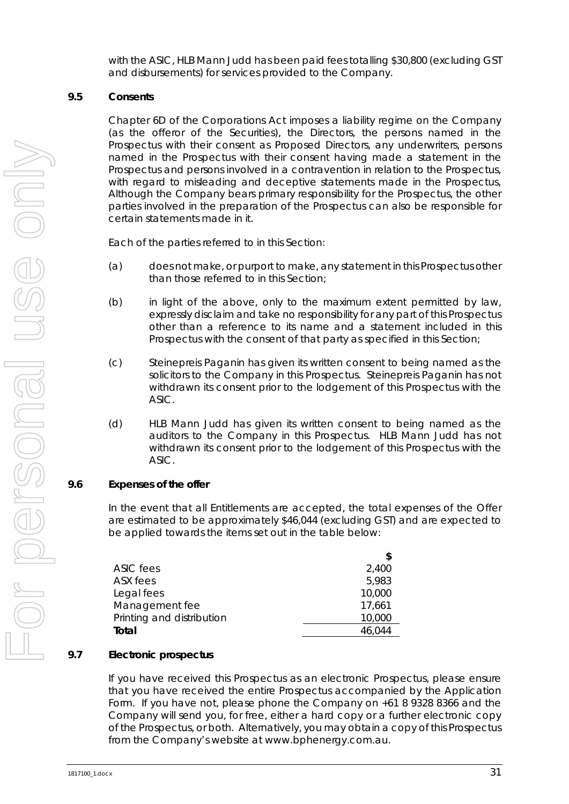with the ASIC, HLB Mann Judd has been paid fees totalling \$30,800 (excluding GST and disbursements) for services provided to the Company.

#### **9.5 Consents**

Chapter 6D of the Corporations Act imposes a liability regime on the Company (as the offeror of the Securities), the Directors, the persons named in the Prospectus with their consent as Proposed Directors, any underwriters, persons named in the Prospectus with their consent having made a statement in the Prospectus and persons involved in a contravention in relation to the Prospectus, with regard to misleading and deceptive statements made in the Prospectus, Although the Company bears primary responsibility for the Prospectus, the other parties involved in the preparation of the Prospectus can also be responsible for certain statements made in it.

Each of the parties referred to in this Section:

- (a) does not make, or purport to make, any statement in this Prospectus other than those referred to in this Section;
- (b) in light of the above, only to the maximum extent permitted by law, expressly disclaim and take no responsibility for any part of this Prospectus other than a reference to its name and a statement included in this Prospectus with the consent of that party as specified in this Section;
- (c) Steinepreis Paganin has given its written consent to being named as the solicitors to the Company in this Prospectus. Steinepreis Paganin has not withdrawn its consent prior to the lodgement of this Prospectus with the ASIC.
- (d) HLB Mann Judd has given its written consent to being named as the auditors to the Company in this Prospectus. HLB Mann Judd has not withdrawn its consent prior to the lodgement of this Prospectus with the ASIC.

# <span id="page-32-0"></span>**9.6 Expenses of the offer**

In the event that all Entitlements are accepted, the total expenses of the Offer are estimated to be approximately \$46,044 (excluding GST) and are expected to be applied towards the items set out in the table below:

| ASIC fees                 | 2,400  |
|---------------------------|--------|
| ASX fees                  | 5,983  |
| Legal fees                | 10,000 |
| Management fee            | 17,661 |
| Printing and distribution | 10,000 |
| Total                     | 46,044 |
|                           |        |

### **9.7 Electronic prospectus**

If you have received this Prospectus as an electronic Prospectus, please ensure that you have received the entire Prospectus accompanied by the Application Form. If you have not, please phone the Company on +61 8 9328 8366 and the Company will send you, for free, either a hard copy or a further electronic copy of the Prospectus, or both. Alternatively, you may obtain a copy of this Prospectus from the Company's website at www.bphenergy.com.au.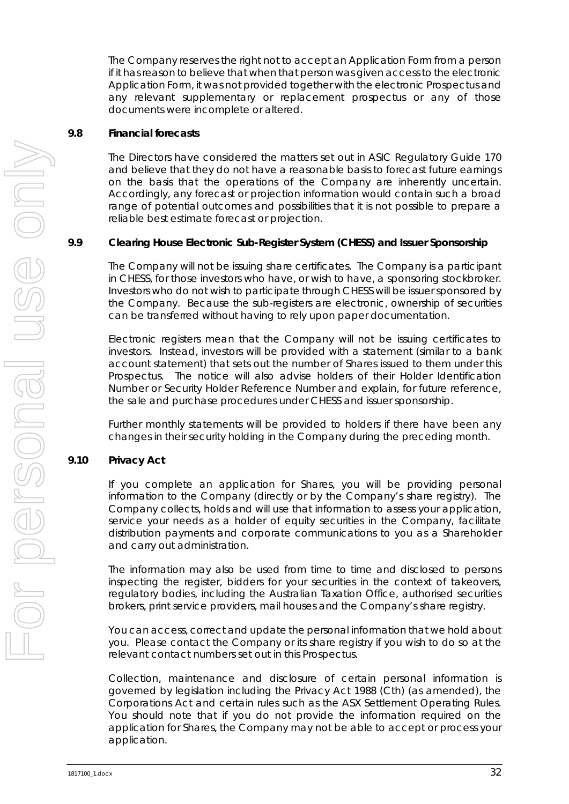The Company reserves the right not to accept an Application Form from a person if it has reason to believe that when that person was given access to the electronic Application Form, it was not provided together with the electronic Prospectus and any relevant supplementary or replacement prospectus or any of those documents were incomplete or altered.

#### **9.8 Financial forecasts**

The Directors have considered the matters set out in ASIC Regulatory Guide 170 and believe that they do not have a reasonable basis to forecast future earnings on the basis that the operations of the Company are inherently uncertain. Accordingly, any forecast or projection information would contain such a broad range of potential outcomes and possibilities that it is not possible to prepare a reliable best estimate forecast or projection.

# **9.9 Clearing House Electronic Sub-Register System (CHESS) and Issuer Sponsorship**

The Company will not be issuing share certificates. The Company is a participant in CHESS, for those investors who have, or wish to have, a sponsoring stockbroker. Investors who do not wish to participate through CHESS will be issuer sponsored by the Company. Because the sub-registers are electronic, ownership of securities can be transferred without having to rely upon paper documentation.

Electronic registers mean that the Company will not be issuing certificates to investors. Instead, investors will be provided with a statement (similar to a bank account statement) that sets out the number of Shares issued to them under this Prospectus. The notice will also advise holders of their Holder Identification Number or Security Holder Reference Number and explain, for future reference, the sale and purchase procedures under CHESS and issuer sponsorship.

Further monthly statements will be provided to holders if there have been any changes in their security holding in the Company during the preceding month.

# **9.10 Privacy Act**

If you complete an application for Shares, you will be providing personal information to the Company (directly or by the Company's share registry). The Company collects, holds and will use that information to assess your application, service your needs as a holder of equity securities in the Company, facilitate distribution payments and corporate communications to you as a Shareholder and carry out administration.

The information may also be used from time to time and disclosed to persons inspecting the register, bidders for your securities in the context of takeovers, regulatory bodies, including the Australian Taxation Office, authorised securities brokers, print service providers, mail houses and the Company's share registry.

You can access, correct and update the personal information that we hold about you. Please contact the Company or its share registry if you wish to do so at the relevant contact numbers set out in this Prospectus.

Collection, maintenance and disclosure of certain personal information is governed by legislation including the Privacy Act 1988 (Cth) (as amended), the Corporations Act and certain rules such as the ASX Settlement Operating Rules. You should note that if you do not provide the information required on the application for Shares, the Company may not be able to accept or process your application.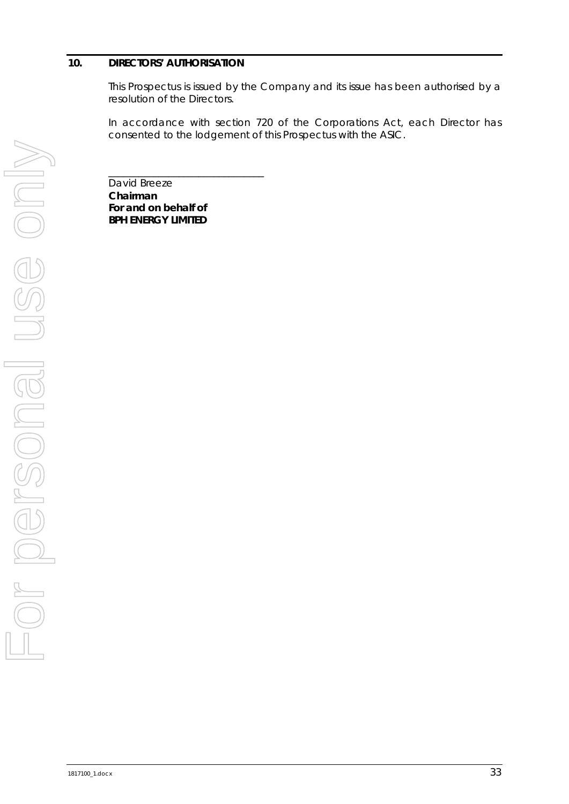#### <span id="page-34-0"></span>**10. DIRECTORS' AUTHORISATION**

This Prospectus is issued by the Company and its issue has been authorised by a resolution of the Directors.

In accordance with section 720 of the Corporations Act, each Director has consented to the lodgement of this Prospectus with the ASIC.

David Breeze **Chairman For and on behalf of BPH ENERGY LIMITED**

\_\_\_\_\_\_\_\_\_\_\_\_\_\_\_\_\_\_\_\_\_\_\_\_\_\_\_\_\_\_\_